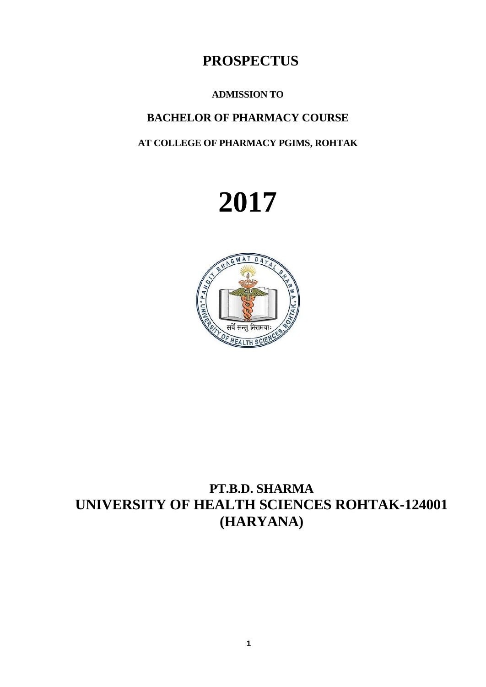# **PROSPECTUS**

# **ADMISSION TO**

# **BACHELOR OF PHARMACY COURSE**

# **AT COLLEGE OF PHARMACY PGIMS, ROHTAK**





# **PT.B.D. SHARMA UNIVERSITY OF HEALTH SCIENCES ROHTAK-124001 (HARYANA)**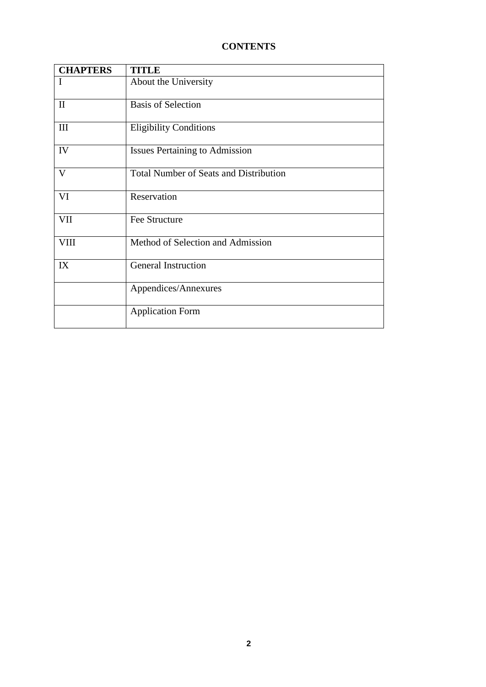# **CONTENTS**

| <b>CHAPTERS</b> | <b>TITLE</b>                                  |
|-----------------|-----------------------------------------------|
| I               | About the University                          |
| $\mathbf{I}$    | <b>Basis of Selection</b>                     |
| III             | <b>Eligibility Conditions</b>                 |
| IV              | <b>Issues Pertaining to Admission</b>         |
| V               | <b>Total Number of Seats and Distribution</b> |
| VI              | Reservation                                   |
| VII             | Fee Structure                                 |
| <b>VIII</b>     | Method of Selection and Admission             |
| IX              | <b>General Instruction</b>                    |
|                 | Appendices/Annexures                          |
|                 | <b>Application Form</b>                       |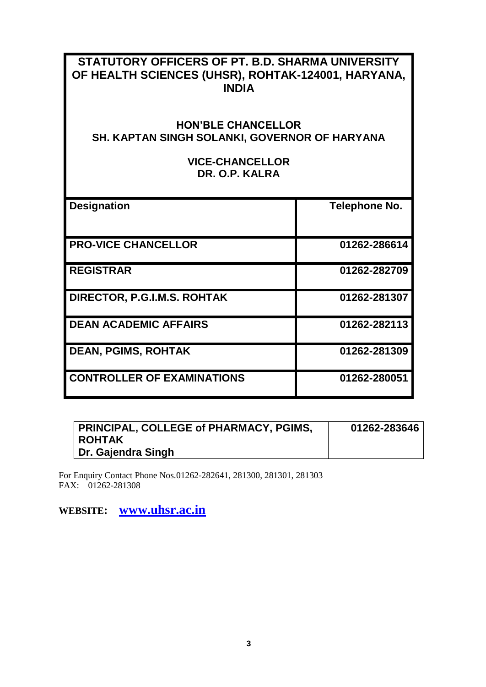# **STATUTORY OFFICERS OF PT. B.D. SHARMA UNIVERSITY OF HEALTH SCIENCES (UHSR), ROHTAK-124001, HARYANA, INDIA**

# **HON'BLE CHANCELLOR SH. KAPTAN SINGH SOLANKI, GOVERNOR OF HARYANA**

# **VICE-CHANCELLOR DR. O.P. KALRA**

| <b>Designation</b>                | Telephone No. |
|-----------------------------------|---------------|
| <b>PRO-VICE CHANCELLOR</b>        | 01262-286614  |
| <b>REGISTRAR</b>                  | 01262-282709  |
| DIRECTOR, P.G.I.M.S. ROHTAK       | 01262-281307  |
| <b>DEAN ACADEMIC AFFAIRS</b>      | 01262-282113  |
| <b>DEAN, PGIMS, ROHTAK</b>        | 01262-281309  |
| <b>CONTROLLER OF EXAMINATIONS</b> | 01262-280051  |

| <b>PRINCIPAL, COLLEGE of PHARMACY, PGIMS,</b> | 01262-283646 |
|-----------------------------------------------|--------------|
| <b>ROHTAK</b>                                 |              |
| <sup>1</sup> Dr. Gajendra Singh               |              |

For Enquiry Contact Phone Nos.01262-282641, 281300, 281301, 281303 FAX: 01262-281308

**WEBSITE: [www.uhsr.ac.in](http://www.uhsr.ac.in/)**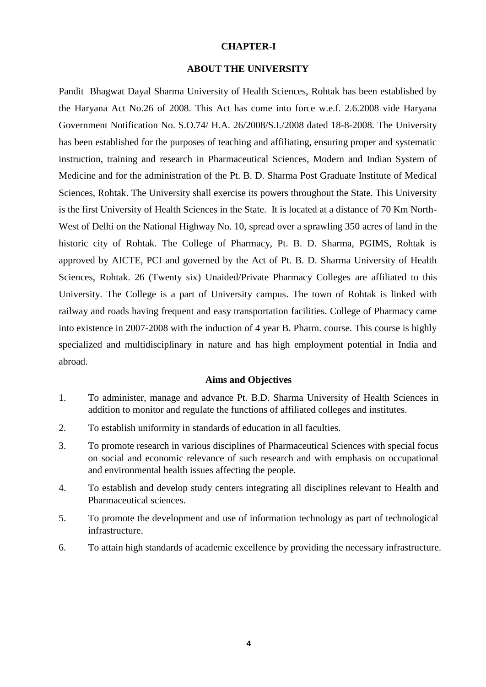#### **CHAPTER-I**

#### **ABOUT THE UNIVERSITY**

Pandit Bhagwat Dayal Sharma University of Health Sciences, Rohtak has been established by the Haryana Act No.26 of 2008. This Act has come into force w.e.f. 2.6.2008 vide Haryana Government Notification No. S.O.74/ H.A. 26/2008/S.I./2008 dated 18-8-2008. The University has been established for the purposes of teaching and affiliating, ensuring proper and systematic instruction, training and research in Pharmaceutical Sciences, Modern and Indian System of Medicine and for the administration of the Pt. B. D. Sharma Post Graduate Institute of Medical Sciences, Rohtak. The University shall exercise its powers throughout the State. This University is the first University of Health Sciences in the State. It is located at a distance of 70 Km North-West of Delhi on the National Highway No. 10, spread over a sprawling 350 acres of land in the historic city of Rohtak. The College of Pharmacy, Pt. B. D. Sharma, PGIMS, Rohtak is approved by AICTE, PCI and governed by the Act of Pt. B. D. Sharma University of Health Sciences, Rohtak. 26 (Twenty six) Unaided/Private Pharmacy Colleges are affiliated to this University. The College is a part of University campus. The town of Rohtak is linked with railway and roads having frequent and easy transportation facilities. College of Pharmacy came into existence in 2007-2008 with the induction of 4 year B. Pharm. course. This course is highly specialized and multidisciplinary in nature and has high employment potential in India and abroad.

#### **Aims and Objectives**

- 1. To administer, manage and advance Pt. B.D. Sharma University of Health Sciences in addition to monitor and regulate the functions of affiliated colleges and institutes.
- 2. To establish uniformity in standards of education in all faculties.
- 3. To promote research in various disciplines of Pharmaceutical Sciences with special focus on social and economic relevance of such research and with emphasis on occupational and environmental health issues affecting the people.
- 4. To establish and develop study centers integrating all disciplines relevant to Health and Pharmaceutical sciences.
- 5. To promote the development and use of information technology as part of technological infrastructure.
- 6. To attain high standards of academic excellence by providing the necessary infrastructure.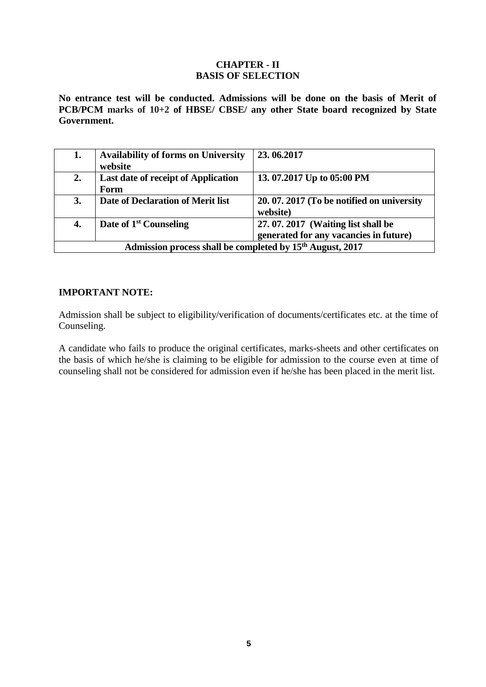# **CHAPTER - II BASIS OF SELECTION**

**No entrance test will be conducted. Admissions will be done on the basis of Merit of PCB/PCM marks of 10+2 of HBSE/ CBSE/ any other State board recognized by State Government.**

| 1.                                                                                                                      | <b>Availability of forms on University</b><br>website                 | 23.06.2017                                           |  |  |  |  |
|-------------------------------------------------------------------------------------------------------------------------|-----------------------------------------------------------------------|------------------------------------------------------|--|--|--|--|
| 2.                                                                                                                      | <b>Last date of receipt of Application</b><br>Form                    | 13.07.2017 Up to 05:00 PM                            |  |  |  |  |
| 3.                                                                                                                      | Date of Declaration of Merit list                                     | 20.07.2017 (To be notified on university<br>website) |  |  |  |  |
| Date of 1 <sup>st</sup> Counseling<br>27.07.2017 (Waiting list shall be<br>4.<br>generated for any vacancies in future) |                                                                       |                                                      |  |  |  |  |
|                                                                                                                         | Admission process shall be completed by 15 <sup>th</sup> August, 2017 |                                                      |  |  |  |  |

## **IMPORTANT NOTE:**

Admission shall be subject to eligibility/verification of documents/certificates etc. at the time of Counseling.

A candidate who fails to produce the original certificates, marks-sheets and other certificates on the basis of which he/she is claiming to be eligible for admission to the course even at time of counseling shall not be considered for admission even if he/she has been placed in the merit list.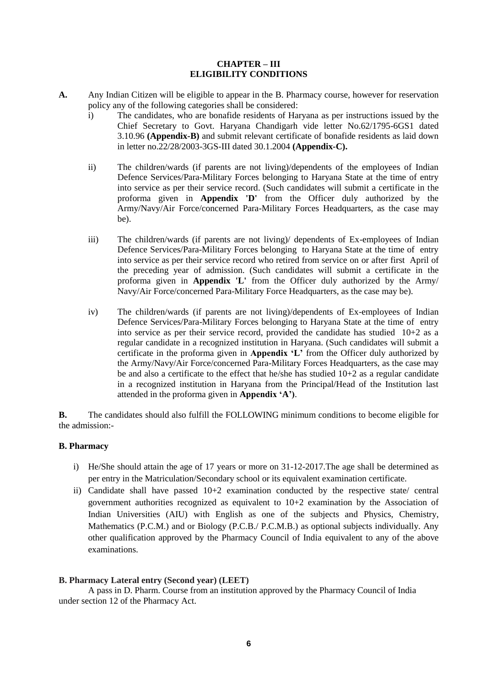#### **CHAPTER – III ELIGIBILITY CONDITIONS**

- **A.** Any Indian Citizen will be eligible to appear in the B. Pharmacy course, however for reservation policy any of the following categories shall be considered:
	- i) The candidates, who are bonafide residents of Haryana as per instructions issued by the Chief Secretary to Govt. Haryana Chandigarh vide letter No.62/1795-6GS1 dated 3.10.96 **(Appendix-B)** and submit relevant certificate of bonafide residents as laid down in letter no.22/28/2003-3GS-III dated 30.1.2004 **(Appendix-C).**
	- ii) The children/wards (if parents are not living)/dependents of the employees of Indian Defence Services/Para-Military Forces belonging to Haryana State at the time of entry into service as per their service record. (Such candidates will submit a certificate in the proforma given in **Appendix 'D'** from the Officer duly authorized by the Army/Navy/Air Force/concerned Para-Military Forces Headquarters, as the case may be).
	- iii) The children/wards (if parents are not living)/ dependents of Ex-employees of Indian Defence Services/Para-Military Forces belonging to Haryana State at the time of entry into service as per their service record who retired from service on or after first April of the preceding year of admission. (Such candidates will submit a certificate in the proforma given in **Appendix 'L'** from the Officer duly authorized by the Army/ Navy/Air Force/concerned Para-Military Force Headquarters, as the case may be).
	- iv) The children/wards (if parents are not living)/dependents of Ex-employees of Indian Defence Services/Para-Military Forces belonging to Haryana State at the time of entry into service as per their service record, provided the candidate has studied  $10+2$  as a regular candidate in a recognized institution in Haryana. (Such candidates will submit a certificate in the proforma given in **Appendix 'L'** from the Officer duly authorized by the Army/Navy/Air Force/concerned Para-Military Forces Headquarters, as the case may be and also a certificate to the effect that he/she has studied  $10+2$  as a regular candidate in a recognized institution in Haryana from the Principal/Head of the Institution last attended in the proforma given in **Appendix 'A')**.

**B.** The candidates should also fulfill the FOLLOWING minimum conditions to become eligible for the admission:-

#### **B. Pharmacy**

- i) He/She should attain the age of 17 years or more on 31-12-2017.The age shall be determined as per entry in the Matriculation/Secondary school or its equivalent examination certificate.
- ii) Candidate shall have passed 10+2 examination conducted by the respective state/ central government authorities recognized as equivalent to 10+2 examination by the Association of Indian Universities (AIU) with English as one of the subjects and Physics, Chemistry, Mathematics (P.C.M.) and or Biology (P.C.B./ P.C.M.B.) as optional subjects individually. Any other qualification approved by the Pharmacy Council of India equivalent to any of the above examinations.

#### **B. Pharmacy Lateral entry (Second year) (LEET)**

A pass in D. Pharm. Course from an institution approved by the Pharmacy Council of India under section 12 of the Pharmacy Act.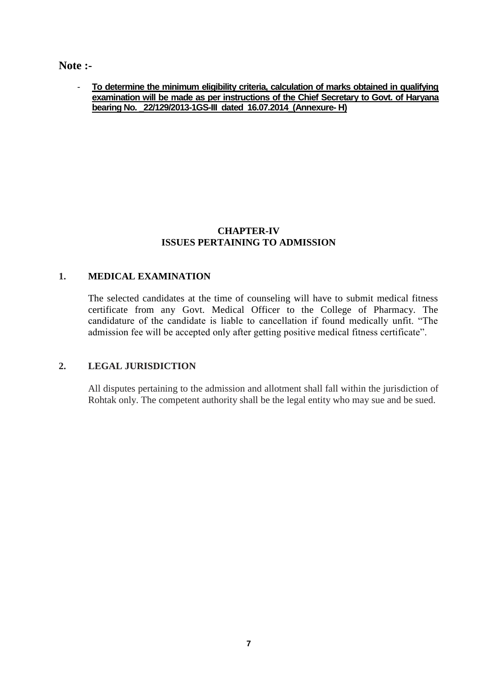**Note :-**

- **To determine the minimum eligibility criteria, calculation of marks obtained in qualifying examination will be made as per instructions of the Chief Secretary to Govt. of Haryana bearing No. \_22/129/2013-1GS-III dated 16.07.2014\_(Annexure- H)** 

# **CHAPTER-IV ISSUES PERTAINING TO ADMISSION**

# **1. MEDICAL EXAMINATION**

The selected candidates at the time of counseling will have to submit medical fitness certificate from any Govt. Medical Officer to the College of Pharmacy. The candidature of the candidate is liable to cancellation if found medically unfit. "The admission fee will be accepted only after getting positive medical fitness certificate".

# **2. LEGAL JURISDICTION**

All disputes pertaining to the admission and allotment shall fall within the jurisdiction of Rohtak only. The competent authority shall be the legal entity who may sue and be sued.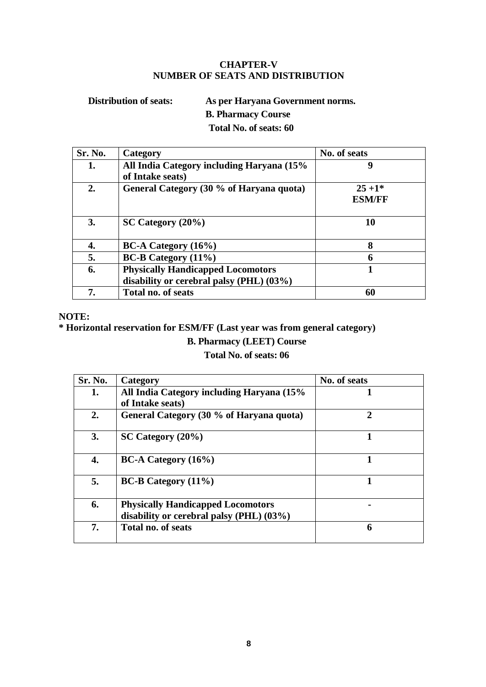## **CHAPTER-V NUMBER OF SEATS AND DISTRIBUTION**

**Distribution of seats: As per Haryana Government norms. B. Pharmacy Course Total No. of seats: 60**

| Sr. No. | Category                                  | No. of seats  |
|---------|-------------------------------------------|---------------|
| 1.      | All India Category including Haryana (15% | 9             |
|         | of Intake seats)                          |               |
| 2.      | General Category (30 % of Haryana quota)  | $25+1*$       |
|         |                                           | <b>ESM/FF</b> |
|         |                                           |               |
| 3.      | $SC$ Category $(20\%)$                    | 10            |
|         |                                           |               |
| 4.      | $BC-A$ Category $(16\%)$                  | 8             |
| 5.      | $BC-B$ Category $(11\%)$                  | n             |
| 6.      | <b>Physically Handicapped Locomotors</b>  |               |
|         | disability or cerebral palsy (PHL) (03%)  |               |
| 7.      | Total no. of seats                        | 60            |

#### **NOTE:**

**\* Horizontal reservation for ESM/FF (Last year was from general category)**

# **B. Pharmacy (LEET) Course**

# **Total No. of seats: 06**

| Sr. No. | Category                                                                             | No. of seats          |
|---------|--------------------------------------------------------------------------------------|-----------------------|
| 1.      | All India Category including Haryana (15%                                            |                       |
|         | of Intake seats)                                                                     |                       |
| 2.      | General Category (30 % of Haryana quota)                                             | $\mathcal{D}_{\cdot}$ |
| 3.      | $SC$ Category $(20\%)$                                                               |                       |
| 4.      | $BC-A$ Category $(16\%)$                                                             |                       |
| 5.      | <b>BC-B Category</b> (11%)                                                           |                       |
| 6.      | <b>Physically Handicapped Locomotors</b><br>disability or cerebral palsy (PHL) (03%) |                       |
| 7.      | Total no. of seats                                                                   | 6                     |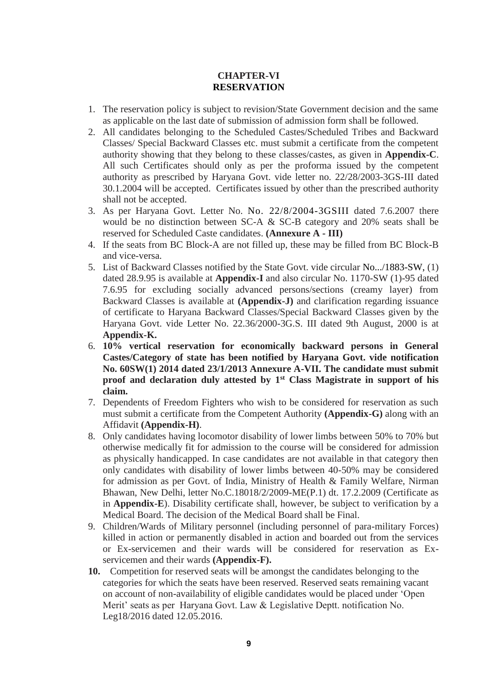## **CHAPTER-VI RESERVATION**

- 1. The reservation policy is subject to revision/State Government decision and the same as applicable on the last date of submission of admission form shall be followed.
- 2. All candidates belonging to the Scheduled Castes/Scheduled Tribes and Backward Classes/ Special Backward Classes etc. must submit a certificate from the competent authority showing that they belong to these classes/castes, as given in **Appendix-C**. All such Certificates should only as per the proforma issued by the competent authority as prescribed by Haryana Govt. vide letter no. 22/28/2003-3GS-III dated 30.1.2004 will be accepted. Certificates issued by other than the prescribed authority shall not be accepted.
- 3. As per Haryana Govt. Letter No. No. 22/8/2004-3GSIII dated 7.6.2007 there would be no distinction between SC-A & SC-B category and 20% seats shall be reserved for Scheduled Caste candidates. **(Annexure A - III)**
- 4. If the seats from BC Block-A are not filled up, these may be filled from BC Block-B and vice-versa.
- 5. List of Backward Classes notified by the State Govt. vide circular No.../1883-SW, (1) dated 28.9.95 is available at **Appendix-I** and also circular No. 1170-SW (1)-95 dated 7.6.95 for excluding socially advanced persons/sections (creamy layer) from Backward Classes is available at **(Appendix-J)** and clarification regarding issuance of certificate to Haryana Backward Classes/Special Backward Classes given by the Haryana Govt. vide Letter No. 22.36/2000-3G.S. III dated 9th August, 2000 is at **Appendix-K.**
- 6. **10% vertical reservation for economically backward persons in General Castes/Category of state has been notified by Haryana Govt. vide notification No. 60SW(1) 2014 dated 23/1/2013 Annexure A-VII. The candidate must submit proof and declaration duly attested by 1st Class Magistrate in support of his claim.**
- 7. Dependents of Freedom Fighters who wish to be considered for reservation as such must submit a certificate from the Competent Authority **(Appendix-G)** along with an Affidavit **(Appendix-H)**.
- 8. Only candidates having locomotor disability of lower limbs between 50% to 70% but otherwise medically fit for admission to the course will be considered for admission as physically handicapped. In case candidates are not available in that category then only candidates with disability of lower limbs between 40-50% may be considered for admission as per Govt. of India, Ministry of Health & Family Welfare, Nirman Bhawan, New Delhi, letter No.C.18018/2/2009-ME(P.1) dt. 17.2.2009 (Certificate as in **Appendix-E**). Disability certificate shall, however, be subject to verification by a Medical Board. The decision of the Medical Board shall be Final.
- 9. Children/Wards of Military personnel (including personnel of para-military Forces) killed in action or permanently disabled in action and boarded out from the services or Ex-servicemen and their wards will be considered for reservation as Exservicemen and their wards **(Appendix-F).**
- **10.** Competition for reserved seats will be amongst the candidates belonging to the categories for which the seats have been reserved. Reserved seats remaining vacant on account of non-availability of eligible candidates would be placed under 'Open Merit' seats as per Haryana Govt. Law & Legislative Deptt. notification No. Leg18/2016 dated 12.05.2016.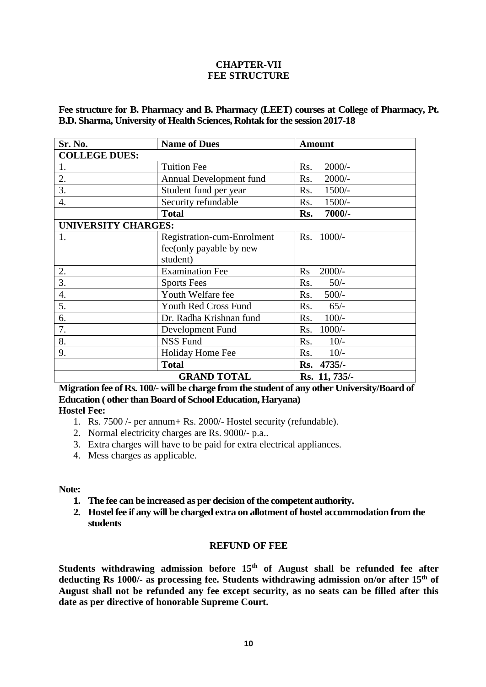## **CHAPTER-VII FEE STRUCTURE**

**Fee structure for B. Pharmacy and B. Pharmacy (LEET) courses at College of Pharmacy, Pt. B.D. Sharma, University of Health Sciences, Rohtak for the session 2017-18**

| Sr. No.                    | <b>Amount</b>              |                 |
|----------------------------|----------------------------|-----------------|
| <b>COLLEGE DUES:</b>       |                            |                 |
| 1.                         | <b>Tuition Fee</b>         | $2000/-$<br>Rs. |
| 2.                         | Annual Development fund    | $2000/-$<br>Rs. |
| 3.                         | Student fund per year      | Rs.<br>$1500/-$ |
| $\overline{4}$ .           | Security refundable        | $1500/-$<br>Rs. |
|                            | <b>Total</b>               | 7000/-<br>Rs.   |
| <b>UNIVERSITY CHARGES:</b> |                            |                 |
| 1.                         | Registration-cum-Enrolment | Rs. 1000/-      |
|                            | fee(only payable by new    |                 |
|                            | student)                   |                 |
| 2.                         | <b>Examination Fee</b>     | $2000/-$<br>Rs  |
| $3-$                       | <b>Sports Fees</b>         | $50/-$<br>Rs.   |
| $\overline{4}$ .           | Youth Welfare fee          | $500/-$<br>Rs.  |
| 5.                         | Youth Red Cross Fund       | Rs.<br>$65/-$   |
| 6.                         | Dr. Radha Krishnan fund    | $100/-$<br>Rs.  |
| 7.                         | Development Fund           | $1000/-$<br>Rs. |
| 8.                         | <b>NSS Fund</b>            | $10/-$<br>Rs.   |
| 9.                         | Holiday Home Fee           | $10/-$<br>Rs.   |
|                            | <b>Total</b>               | Rs. 4735/-      |
|                            | <b>GRAND TOTAL</b>         | Rs. 11, 735/-   |

**Migration fee of Rs. 100/- will be charge from the student of any other University/Board of Education ( other than Board of School Education, Haryana)**

# **Hostel Fee:**

- 1. Rs. 7500 /- per annum+ Rs. 2000/- Hostel security (refundable).
- 2. Normal electricity charges are Rs. 9000/- p.a..
- 3. Extra charges will have to be paid for extra electrical appliances.
- 4. Mess charges as applicable.

#### **Note:**

- **1. The fee can be increased as per decision of the competent authority.**
- **2. Hostel fee if any will be charged extra on allotment of hostel accommodation from the students**

#### **REFUND OF FEE**

**Students withdrawing admission before 15th of August shall be refunded fee after deducting Rs 1000/- as processing fee. Students withdrawing admission on/or after 15th of August shall not be refunded any fee except security, as no seats can be filled after this date as per directive of honorable Supreme Court.**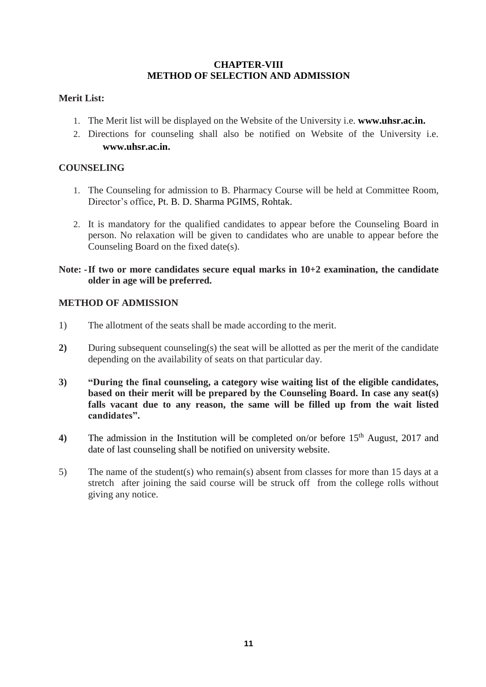## **CHAPTER-VIII METHOD OF SELECTION AND ADMISSION**

# **Merit List:**

- 1. The Merit list will be displayed on the Website of the University i.e. **[www.uhsr.ac.in.](http://www.uhsr.ac.in/)**
- 2. Directions for counseling shall also be notified on Website of the University i.e. **[www.uhsr.ac.in.](http://www.uhsr.ac.in/)**

# **COUNSELING**

- 1. The Counseling for admission to B. Pharmacy Course will be held at Committee Room, Director's office, Pt. B. D. Sharma PGIMS, Rohtak.
- 2. It is mandatory for the qualified candidates to appear before the Counseling Board in person. No relaxation will be given to candidates who are unable to appear before the Counseling Board on the fixed date(s).

## **Note: -If two or more candidates secure equal marks in 10+2 examination, the candidate older in age will be preferred.**

## **METHOD OF ADMISSION**

- 1) The allotment of the seats shall be made according to the merit.
- **2)** During subsequent counseling(s) the seat will be allotted as per the merit of the candidate depending on the availability of seats on that particular day.
- **3) "During the final counseling, a category wise waiting list of the eligible candidates, based on their merit will be prepared by the Counseling Board. In case any seat(s) falls vacant due to any reason, the same will be filled up from the wait listed candidates".**
- 4) The admission in the Institution will be completed on/or before 15<sup>th</sup> August, 2017 and date of last counseling shall be notified on university website.
- 5) The name of the student(s) who remain(s) absent from classes for more than 15 days at a stretch after joining the said course will be struck off from the college rolls without giving any notice.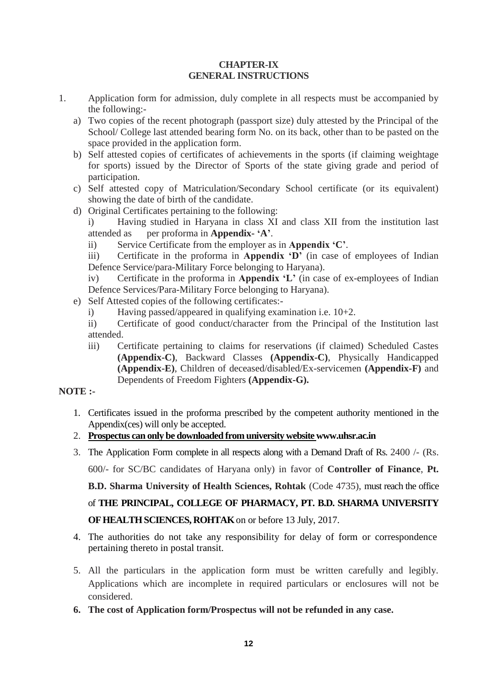#### **CHAPTER-IX GENERAL INSTRUCTIONS**

- 1. Application form for admission, duly complete in all respects must be accompanied by the following:
	- a) Two copies of the recent photograph (passport size) duly attested by the Principal of the School/ College last attended bearing form No. on its back, other than to be pasted on the space provided in the application form.
	- b) Self attested copies of certificates of achievements in the sports (if claiming weightage for sports) issued by the Director of Sports of the state giving grade and period of participation.
	- c) Self attested copy of Matriculation/Secondary School certificate (or its equivalent) showing the date of birth of the candidate.
	- d) Original Certificates pertaining to the following:
		- i) Having studied in Haryana in class XI and class XII from the institution last attended as per proforma in **Appendix- 'A'**.
		- ii) Service Certificate from the employer as in **Appendix 'C'**.

iii) Certificate in the proforma in **Appendix 'D'** (in case of employees of Indian Defence Service/para-Military Force belonging to Haryana).

iv) Certificate in the proforma in **Appendix 'L'** (in case of ex-employees of Indian Defence Services/Para-Military Force belonging to Haryana).

- e) Self Attested copies of the following certificates:
	- i) Having passed/appeared in qualifying examination i.e. 10+2.

ii) Certificate of good conduct/character from the Principal of the Institution last attended.

iii) Certificate pertaining to claims for reservations (if claimed) Scheduled Castes **(Appendix-C)**, Backward Classes **(Appendix-C)**, Physically Handicapped **(Appendix-E)**, Children of deceased/disabled/Ex-servicemen **(Appendix-F)** and Dependents of Freedom Fighters **(Appendix-G).**

# **NOTE :-**

- 1. Certificates issued in the proforma prescribed by the competent authority mentioned in the Appendix(ces) will only be accepted.
- 2. **Prospectus can only be downloaded from university website www.uhsr.ac.in**
- 3. The Application Form complete in all respects along with a Demand Draft of Rs. 2400 /- (Rs.

600/- for SC/BC candidates of Haryana only) in favor of **Controller of Finance**, **Pt.** 

**B.D. Sharma University of Health Sciences, Rohtak** (Code 4735), must reach the office

# of **THE PRINCIPAL, COLLEGE OF PHARMACY, PT. B.D. SHARMA UNIVERSITY**

**OF HEALTH SCIENCES, ROHTAK** on or before 13 July, 2017.

- 4. The authorities do not take any responsibility for delay of form or correspondence pertaining thereto in postal transit.
- 5. All the particulars in the application form must be written carefully and legibly. Applications which are incomplete in required particulars or enclosures will not be considered.
- **6. The cost of Application form/Prospectus will not be refunded in any case.**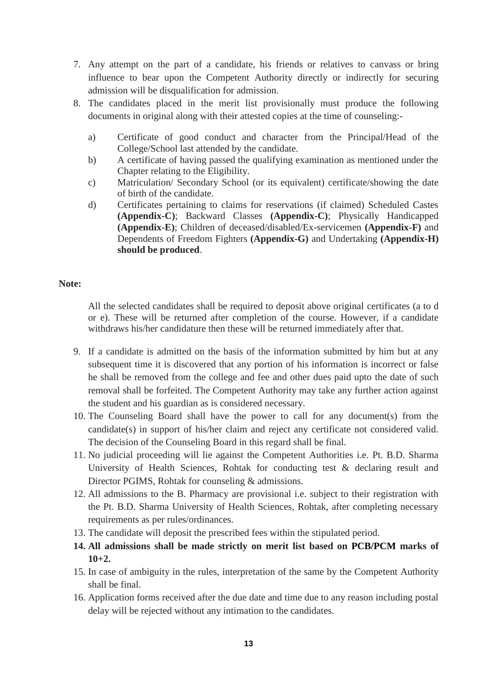- 7. Any attempt on the part of a candidate, his friends or relatives to canvass or bring influence to bear upon the Competent Authority directly or indirectly for securing admission will be disqualification for admission.
- 8. The candidates placed in the merit list provisionally must produce the following documents in original along with their attested copies at the time of counseling:
	- a) Certificate of good conduct and character from the Principal/Head of the College/School last attended by the candidate.
	- b) A certificate of having passed the qualifying examination as mentioned under the Chapter relating to the Eligibility.
	- c) Matriculation/ Secondary School (or its equivalent) certificate/showing the date of birth of the candidate.
	- d) Certificates pertaining to claims for reservations (if claimed) Scheduled Castes **(Appendix-C)**; Backward Classes **(Appendix-C)**; Physically Handicapped **(Appendix-E)**; Children of deceased/disabled/Ex-servicemen **(Appendix-F)** and Dependents of Freedom Fighters **(Appendix-G)** and Undertaking **(Appendix-H) should be produced**.

#### **Note:**

All the selected candidates shall be required to deposit above original certificates (a to d or e). These will be returned after completion of the course. However, if a candidate withdraws his/her candidature then these will be returned immediately after that.

- 9. If a candidate is admitted on the basis of the information submitted by him but at any subsequent time it is discovered that any portion of his information is incorrect or false he shall be removed from the college and fee and other dues paid upto the date of such removal shall be forfeited. The Competent Authority may take any further action against the student and his guardian as is considered necessary.
- 10. The Counseling Board shall have the power to call for any document(s) from the candidate(s) in support of his/her claim and reject any certificate not considered valid. The decision of the Counseling Board in this regard shall be final.
- 11. No judicial proceeding will lie against the Competent Authorities i.e. Pt. B.D. Sharma University of Health Sciences, Rohtak for conducting test & declaring result and Director PGIMS, Rohtak for counseling & admissions.
- 12. All admissions to the B. Pharmacy are provisional i.e. subject to their registration with the Pt. B.D. Sharma University of Health Sciences, Rohtak, after completing necessary requirements as per rules/ordinances.
- 13. The candidate will deposit the prescribed fees within the stipulated period.
- **14. All admissions shall be made strictly on merit list based on PCB/PCM marks of 10+2.**
- 15. In case of ambiguity in the rules, interpretation of the same by the Competent Authority shall be final.
- 16. Application forms received after the due date and time due to any reason including postal delay will be rejected without any intimation to the candidates.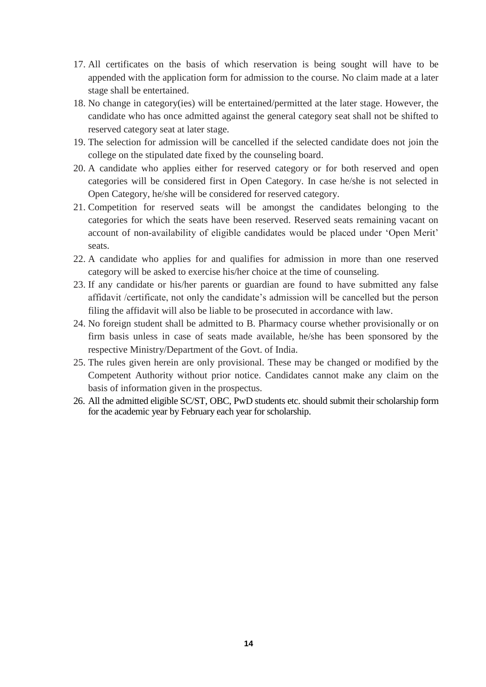- 17. All certificates on the basis of which reservation is being sought will have to be appended with the application form for admission to the course. No claim made at a later stage shall be entertained.
- 18. No change in category(ies) will be entertained/permitted at the later stage. However, the candidate who has once admitted against the general category seat shall not be shifted to reserved category seat at later stage.
- 19. The selection for admission will be cancelled if the selected candidate does not join the college on the stipulated date fixed by the counseling board.
- 20. A candidate who applies either for reserved category or for both reserved and open categories will be considered first in Open Category. In case he/she is not selected in Open Category, he/she will be considered for reserved category.
- 21. Competition for reserved seats will be amongst the candidates belonging to the categories for which the seats have been reserved. Reserved seats remaining vacant on account of non-availability of eligible candidates would be placed under 'Open Merit' seats.
- 22. A candidate who applies for and qualifies for admission in more than one reserved category will be asked to exercise his/her choice at the time of counseling.
- 23. If any candidate or his/her parents or guardian are found to have submitted any false affidavit /certificate, not only the candidate's admission will be cancelled but the person filing the affidavit will also be liable to be prosecuted in accordance with law.
- 24. No foreign student shall be admitted to B. Pharmacy course whether provisionally or on firm basis unless in case of seats made available, he/she has been sponsored by the respective Ministry/Department of the Govt. of India.
- 25. The rules given herein are only provisional. These may be changed or modified by the Competent Authority without prior notice. Candidates cannot make any claim on the basis of information given in the prospectus.
- 26. All the admitted eligible SC/ST, OBC, PwD students etc. should submit their scholarship form for the academic year by February each year for scholarship.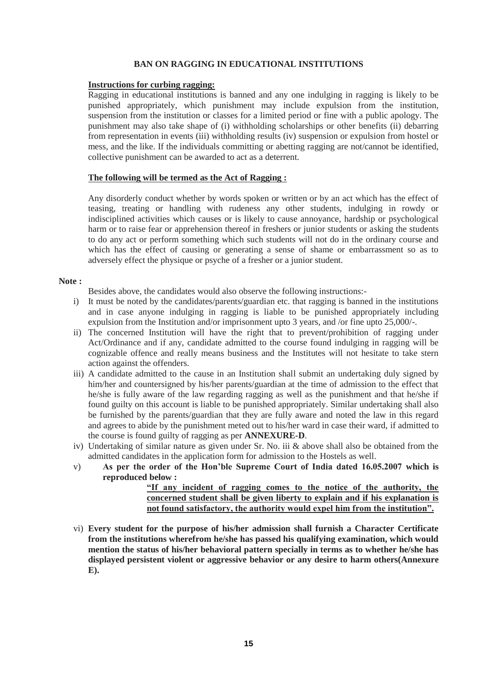#### **BAN ON RAGGING IN EDUCATIONAL INSTITUTIONS**

#### **Instructions for curbing ragging:**

Ragging in educational institutions is banned and any one indulging in ragging is likely to be punished appropriately, which punishment may include expulsion from the institution, suspension from the institution or classes for a limited period or fine with a public apology. The punishment may also take shape of (i) withholding scholarships or other benefits (ii) debarring from representation in events (iii) withholding results (iv) suspension or expulsion from hostel or mess, and the like. If the individuals committing or abetting ragging are not/cannot be identified, collective punishment can be awarded to act as a deterrent.

#### **The following will be termed as the Act of Ragging :**

Any disorderly conduct whether by words spoken or written or by an act which has the effect of teasing, treating or handling with rudeness any other students, indulging in rowdy or indisciplined activities which causes or is likely to cause annoyance, hardship or psychological harm or to raise fear or apprehension thereof in freshers or junior students or asking the students to do any act or perform something which such students will not do in the ordinary course and which has the effect of causing or generating a sense of shame or embarrassment so as to adversely effect the physique or psyche of a fresher or a junior student.

#### **Note :**

Besides above, the candidates would also observe the following instructions:-

- i) It must be noted by the candidates/parents/guardian etc. that ragging is banned in the institutions and in case anyone indulging in ragging is liable to be punished appropriately including expulsion from the Institution and/or imprisonment upto 3 years, and /or fine upto 25,000/-.
- ii) The concerned Institution will have the right that to prevent/prohibition of ragging under Act/Ordinance and if any, candidate admitted to the course found indulging in ragging will be cognizable offence and really means business and the Institutes will not hesitate to take stern action against the offenders.
- iii) A candidate admitted to the cause in an Institution shall submit an undertaking duly signed by him/her and countersigned by his/her parents/guardian at the time of admission to the effect that he/she is fully aware of the law regarding ragging as well as the punishment and that he/she if found guilty on this account is liable to be punished appropriately. Similar undertaking shall also be furnished by the parents/guardian that they are fully aware and noted the law in this regard and agrees to abide by the punishment meted out to his/her ward in case their ward, if admitted to the course is found guilty of ragging as per **ANNEXURE-D**.
- iv) Undertaking of similar nature as given under Sr. No. iii & above shall also be obtained from the admitted candidates in the application form for admission to the Hostels as well.
- v) **As per the order of the Hon'ble Supreme Court of India dated 16.05.2007 which is reproduced below :**

**"If any incident of ragging comes to the notice of the authority, the concerned student shall be given liberty to explain and if his explanation is not found satisfactory, the authority would expel him from the institution".**

vi) **Every student for the purpose of his/her admission shall furnish a Character Certificate from the institutions wherefrom he/she has passed his qualifying examination, which would mention the status of his/her behavioral pattern specially in terms as to whether he/she has displayed persistent violent or aggressive behavior or any desire to harm others(Annexure E).**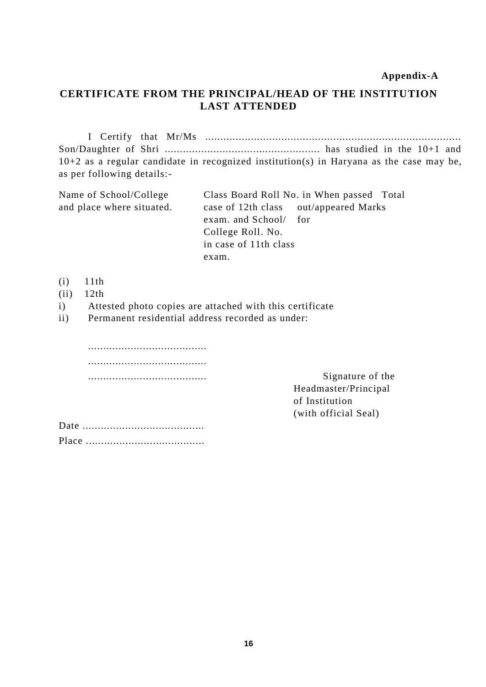## **Appendix-A**

# **CERTIFICATE FROM THE PRINCIPAL/HEAD OF THE INSTITUTION LAST ATTENDED**

I Certify that Mr/Ms .................................................................................... Son/Daughter of Shri ................................................... has studied in the 10+1 and 10+2 as a regular candidate in recognized institution(s) in Haryana as the case may be, as per following details:-

| Name of School/College    | Class Board Roll No. in When passed Total |
|---------------------------|-------------------------------------------|
| and place where situated. | case of 12th class out/appeared Marks     |
|                           | exam. and School/ for                     |
|                           | College Roll. No.                         |
|                           | in case of 11th class                     |
|                           | exam.                                     |

- (i) 11th
- (ii) 12th
- i) Attested photo copies are attached with this certificate

ii) Permanent residential address recorded as under:

....................................... ....................................... ....................................... Signature of the

Headmaster/Principal of Institution (with official Seal)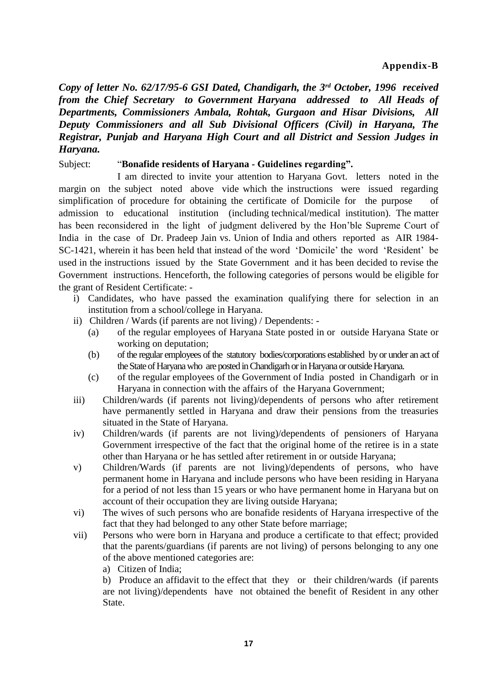*Copy of letter No. 62/17/95-6 GSI Dated, Chandigarh, the 3rd October, 1996 received from the Chief Secretary to Government Haryana addressed to All Heads of Departments, Commissioners Ambala, Rohtak, Gurgaon and Hisar Divisions, All Deputy Commissioners and all Sub Divisional Officers (Civil) in Haryana, The Registrar, Punjab and Haryana High Court and all District and Session Judges in Haryana.*

## Subject: "**Bonafide residents of Haryana - Guidelines regarding".**

I am directed to invite your attention to Haryana Govt. letters noted in the margin on the subject noted above vide which the instructions were issued regarding simplification of procedure for obtaining the certificate of Domicile for the purpose of admission to educational institution (including technical/medical institution). The matter has been reconsidered in the light of judgment delivered by the Hon'ble Supreme Court of India in the case of Dr. Pradeep Jain vs. Union of India and others reported as AIR 1984- SC-1421, wherein it has been held that instead of the word 'Domicile' the word 'Resident' be used in the instructions issued by the State Government and it has been decided to revise the Government instructions. Henceforth, the following categories of persons would be eligible for the grant of Resident Certificate: -

- i) Candidates, who have passed the examination qualifying there for selection in an institution from a school/college in Haryana.
- ii) Children / Wards (if parents are not living) / Dependents:
	- (a) of the regular employees of Haryana State posted in or outside Haryana State or working on deputation;
	- (b) of the regular employees of the statutory bodies/corporations established by or under an act of the State of Haryana who are posted in Chandigarh or in Haryana or outside Haryana.
	- (c) of the regular employees of the Government of India posted in Chandigarh or in Haryana in connection with the affairs of the Haryana Government;
- iii) Children/wards (if parents not living)/dependents of persons who after retirement have permanently settled in Haryana and draw their pensions from the treasuries situated in the State of Haryana.
- iv) Children/wards (if parents are not living)/dependents of pensioners of Haryana Government irrespective of the fact that the original home of the retiree is in a state other than Haryana or he has settled after retirement in or outside Haryana;
- v) Children/Wards (if parents are not living)/dependents of persons, who have permanent home in Haryana and include persons who have been residing in Haryana for a period of not less than 15 years or who have permanent home in Haryana but on account of their occupation they are living outside Haryana;
- vi) The wives of such persons who are bonafide residents of Haryana irrespective of the fact that they had belonged to any other State before marriage;
- vii) Persons who were born in Haryana and produce a certificate to that effect; provided that the parents/guardians (if parents are not living) of persons belonging to any one of the above mentioned categories are:
	- a) Citizen of India;

b) Produce an affidavit to the effect that they or their children/wards (if parents are not living)/dependents have not obtained the benefit of Resident in any other State.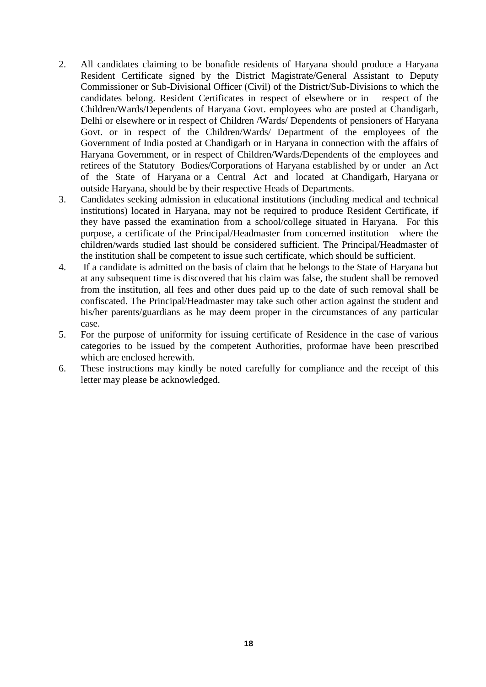- 2. All candidates claiming to be bonafide residents of Haryana should produce a Haryana Resident Certificate signed by the District Magistrate/General Assistant to Deputy Commissioner or Sub-Divisional Officer (Civil) of the District/Sub-Divisions to which the candidates belong. Resident Certificates in respect of elsewhere or in respect of the Children/Wards/Dependents of Haryana Govt. employees who are posted at Chandigarh, Delhi or elsewhere or in respect of Children /Wards/ Dependents of pensioners of Haryana Govt. or in respect of the Children/Wards/ Department of the employees of the Government of India posted at Chandigarh or in Haryana in connection with the affairs of Haryana Government, or in respect of Children/Wards/Dependents of the employees and retirees of the Statutory Bodies/Corporations of Haryana established by or under an Act of the State of Haryana or a Central Act and located at Chandigarh, Haryana or outside Haryana, should be by their respective Heads of Departments.
- 3. Candidates seeking admission in educational institutions (including medical and technical institutions) located in Haryana, may not be required to produce Resident Certificate, if they have passed the examination from a school/college situated in Haryana. For this purpose, a certificate of the Principal/Headmaster from concerned institution where the children/wards studied last should be considered sufficient. The Principal/Headmaster of the institution shall be competent to issue such certificate, which should be sufficient.
- 4. If a candidate is admitted on the basis of claim that he belongs to the State of Haryana but at any subsequent time is discovered that his claim was false, the student shall be removed from the institution, all fees and other dues paid up to the date of such removal shall be confiscated. The Principal/Headmaster may take such other action against the student and his/her parents/guardians as he may deem proper in the circumstances of any particular case.
- 5. For the purpose of uniformity for issuing certificate of Residence in the case of various categories to be issued by the competent Authorities, proformae have been prescribed which are enclosed herewith.
- 6. These instructions may kindly be noted carefully for compliance and the receipt of this letter may please be acknowledged.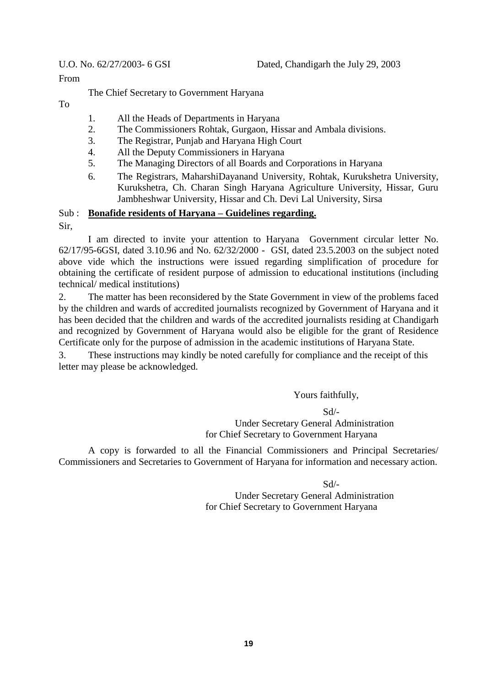From

The Chief Secretary to Government Haryana

To

- 1. All the Heads of Departments in Haryana
- 2. The Commissioners Rohtak, Gurgaon, Hissar and Ambala divisions.
- 3. The Registrar, Punjab and Haryana High Court
- 4. All the Deputy Commissioners in Haryana
- 5. The Managing Directors of all Boards and Corporations in Haryana
- 6. The Registrars, MaharshiDayanand University, Rohtak, Kurukshetra University, Kurukshetra, Ch. Charan Singh Haryana Agriculture University, Hissar, Guru Jambheshwar University, Hissar and Ch. Devi Lal University, Sirsa

# Sub : **Bonafide residents of Haryana – Guidelines regarding.**

Sir,

I am directed to invite your attention to Haryana Government circular letter No. 62/17/95-6GSI, dated 3.10.96 and No. 62/32/2000 - GSI, dated 23.5.2003 on the subject noted above vide which the instructions were issued regarding simplification of procedure for obtaining the certificate of resident purpose of admission to educational institutions (including technical/ medical institutions)

2. The matter has been reconsidered by the State Government in view of the problems faced by the children and wards of accredited journalists recognized by Government of Haryana and it has been decided that the children and wards of the accredited journalists residing at Chandigarh and recognized by Government of Haryana would also be eligible for the grant of Residence Certificate only for the purpose of admission in the academic institutions of Haryana State.

3. These instructions may kindly be noted carefully for compliance and the receipt of this letter may please be acknowledged.

Yours faithfully,

Sd/- Under Secretary General Administration for Chief Secretary to Government Haryana

A copy is forwarded to all the Financial Commissioners and Principal Secretaries/ Commissioners and Secretaries to Government of Haryana for information and necessary action.

Sd/-

Under Secretary General Administration for Chief Secretary to Government Haryana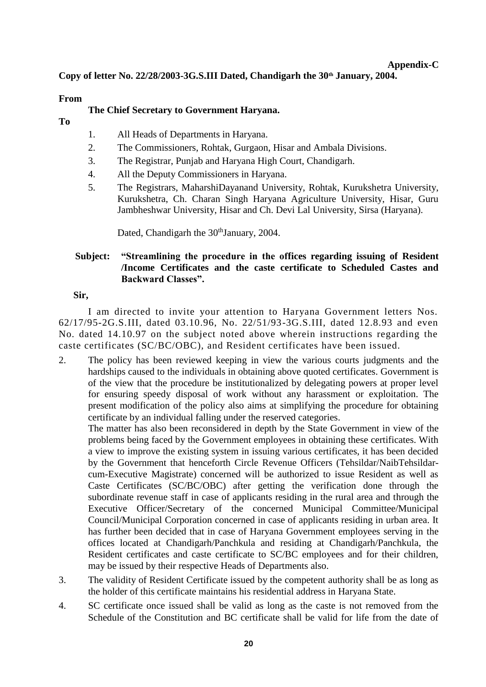# **Appendix-C**

**Copy of letter No. 22/28/2003-3G.S.III Dated, Chandigarh the 30th January, 2004.**

# **From**

# **The Chief Secretary to Government Haryana.**

- **To**
- 1. All Heads of Departments in Haryana.
- 2. The Commissioners, Rohtak, Gurgaon, Hisar and Ambala Divisions.
- 3. The Registrar, Punjab and Haryana High Court, Chandigarh.
- 4. All the Deputy Commissioners in Haryana.
- 5. The Registrars, MaharshiDayanand University, Rohtak, Kurukshetra University, Kurukshetra, Ch. Charan Singh Haryana Agriculture University, Hisar, Guru Jambheshwar University, Hisar and Ch. Devi Lal University, Sirsa (Haryana).

Dated, Chandigarh the 30<sup>th</sup>January, 2004.

# **Subject: "Streamlining the procedure in the offices regarding issuing of Resident /Income Certificates and the caste certificate to Scheduled Castes and Backward Classes".**

## **Sir,**

I am directed to invite your attention to Haryana Government letters Nos. 62/17/95-2G.S.III, dated 03.10.96, No. 22/51/93-3G.S.III, dated 12.8.93 and even No. dated 14.10.97 on the subject noted above wherein instructions regarding the caste certificates (SC/BC/OBC), and Resident certificates have been issued.

2. The policy has been reviewed keeping in view the various courts judgments and the hardships caused to the individuals in obtaining above quoted certificates. Government is of the view that the procedure be institutionalized by delegating powers at proper level for ensuring speedy disposal of work without any harassment or exploitation. The present modification of the policy also aims at simplifying the procedure for obtaining certificate by an individual falling under the reserved categories.

The matter has also been reconsidered in depth by the State Government in view of the problems being faced by the Government employees in obtaining these certificates. With a view to improve the existing system in issuing various certificates, it has been decided by the Government that henceforth Circle Revenue Officers (Tehsildar/NaibTehsildarcum-Executive Magistrate) concerned will be authorized to issue Resident as well as Caste Certificates (SC/BC/OBC) after getting the verification done through the subordinate revenue staff in case of applicants residing in the rural area and through the Executive Officer/Secretary of the concerned Municipal Committee/Municipal Council/Municipal Corporation concerned in case of applicants residing in urban area. It has further been decided that in case of Haryana Government employees serving in the offices located at Chandigarh/Panchkula and residing at Chandigarh/Panchkula, the Resident certificates and caste certificate to SC/BC employees and for their children, may be issued by their respective Heads of Departments also.

- 3. The validity of Resident Certificate issued by the competent authority shall be as long as the holder of this certificate maintains his residential address in Haryana State.
- 4. SC certificate once issued shall be valid as long as the caste is not removed from the Schedule of the Constitution and BC certificate shall be valid for life from the date of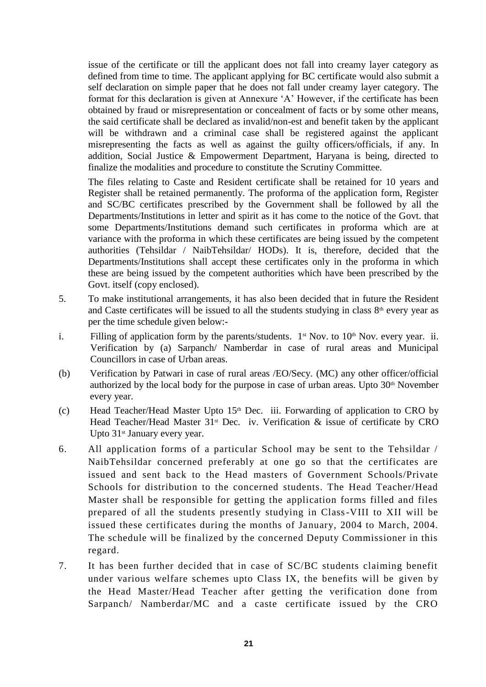issue of the certificate or till the applicant does not fall into creamy layer category as defined from time to time. The applicant applying for BC certificate would also submit a self declaration on simple paper that he does not fall under creamy layer category. The format for this declaration is given at Annexure 'A' However, if the certificate has been obtained by fraud or misrepresentation or concealment of facts or by some other means, the said certificate shall be declared as invalid/non-est and benefit taken by the applicant will be withdrawn and a criminal case shall be registered against the applicant misrepresenting the facts as well as against the guilty officers/officials, if any. In addition, Social Justice & Empowerment Department, Haryana is being, directed to finalize the modalities and procedure to constitute the Scrutiny Committee.

The files relating to Caste and Resident certificate shall be retained for 10 years and Register shall be retained permanently. The proforma of the application form, Register and SC/BC certificates prescribed by the Government shall be followed by all the Departments/Institutions in letter and spirit as it has come to the notice of the Govt. that some Departments/Institutions demand such certificates in proforma which are at variance with the proforma in which these certificates are being issued by the competent authorities (Tehsildar / NaibTehsildar/ HODs). It is, therefore, decided that the Departments/Institutions shall accept these certificates only in the proforma in which these are being issued by the competent authorities which have been prescribed by the Govt. itself (copy enclosed).

- 5. To make institutional arrangements, it has also been decided that in future the Resident and Caste certificates will be issued to all the students studying in class  $8<sup>th</sup>$  every year as per the time schedule given below:-
- i. Filling of application form by the parents/students.  $1<sup>st</sup>$  Nov. to  $10<sup>th</sup>$  Nov. every year. ii. Verification by (a) Sarpanch/ Namberdar in case of rural areas and Municipal Councillors in case of Urban areas.
- (b) Verification by Patwari in case of rural areas /EO/Secy. (MC) any other officer/official authorized by the local body for the purpose in case of urban areas. Upto  $30<sup>th</sup>$  November every year.
- (c) Head Teacher/Head Master Upto 15th Dec. iii. Forwarding of application to CRO by Head Teacher/Head Master  $31<sup>st</sup>$  Dec. iv. Verification & issue of certificate by CRO Upto 31<sup>st</sup> January every year.
- 6. All application forms of a particular School may be sent to the Tehsildar / NaibTehsildar concerned preferably at one go so that the certificates are issued and sent back to the Head masters of Government Schools/Private Schools for distribution to the concerned students. The Head Teacher/Head Master shall be responsible for getting the application forms filled and files prepared of all the students presently studying in Class-VIII to XII will be issued these certificates during the months of January, 2004 to March, 2004. The schedule will be finalized by the concerned Deputy Commissioner in this regard.
- 7. It has been further decided that in case of SC/BC students claiming benefit under various welfare schemes upto Class IX, the benefits will be given by the Head Master/Head Teacher after getting the verification done from Sarpanch/ Namberdar/MC and a caste certificate issued by the CRO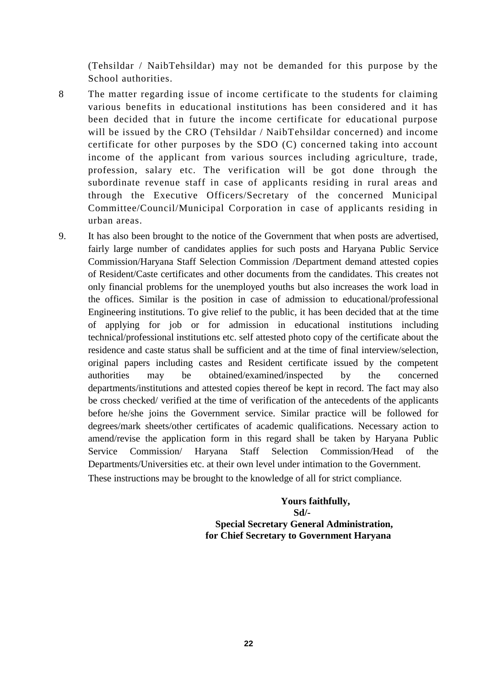(Tehsildar / NaibTehsildar) may not be demanded for this purpose by the School authorities.

- 8 The matter regarding issue of income certificate to the students for claiming various benefits in educational institutions has been considered and it has been decided that in future the income certificate for educational purpose will be issued by the CRO (Tehsildar / NaibTehsildar concerned) and income certificate for other purposes by the SDO (C) concerned taking into account income of the applicant from various sources including agriculture, trade, profession, salary etc. The verification will be got done through the subordinate revenue staff in case of applicants residing in rural areas and through the Executive Officers/Secretary of the concerned Municipal Committee/Council/Municipal Corporation in case of applicants residing in urban areas.
- 9. It has also been brought to the notice of the Government that when posts are advertised, fairly large number of candidates applies for such posts and Haryana Public Service Commission/Haryana Staff Selection Commission /Department demand attested copies of Resident/Caste certificates and other documents from the candidates. This creates not only financial problems for the unemployed youths but also increases the work load in the offices. Similar is the position in case of admission to educational/professional Engineering institutions. To give relief to the public, it has been decided that at the time of applying for job or for admission in educational institutions including technical/professional institutions etc. self attested photo copy of the certificate about the residence and caste status shall be sufficient and at the time of final interview/selection, original papers including castes and Resident certificate issued by the competent authorities may be obtained/examined/inspected by the concerned departments/institutions and attested copies thereof be kept in record. The fact may also be cross checked/ verified at the time of verification of the antecedents of the applicants before he/she joins the Government service. Similar practice will be followed for degrees/mark sheets/other certificates of academic qualifications. Necessary action to amend/revise the application form in this regard shall be taken by Haryana Public Service Commission/ Haryana Staff Selection Commission/Head of the Departments/Universities etc. at their own level under intimation to the Government. These instructions may be brought to the knowledge of all for strict compliance.

 **Yours faithfully, Sd/- Special Secretary General Administration, for Chief Secretary to Government Haryana**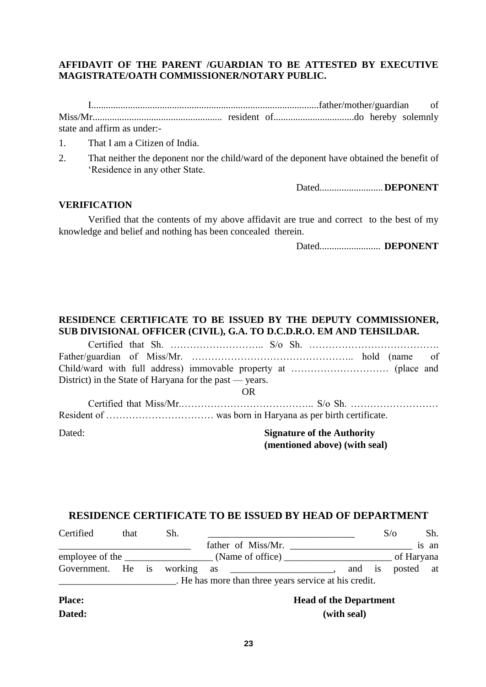# **AFFIDAVIT OF THE PARENT /GUARDIAN TO BE ATTESTED BY EXECUTIVE MAGISTRATE/OATH COMMISSIONER/NOTARY PUBLIC.**

I.............................................................................................father/mother/guardian of Miss/Mr..................................................... resident of.................................do hereby solemnly state and affirm as under:-

1. That I am a Citizen of India.

2. That neither the deponent nor the child/ward of the deponent have obtained the benefit of 'Residence in any other State.

Dated..........................**DEPONENT**

#### **VERIFICATION**

Verified that the contents of my above affidavit are true and correct to the best of my knowledge and belief and nothing has been concealed therein.

Dated......................... **DEPONENT**

# **RESIDENCE CERTIFICATE TO BE ISSUED BY THE DEPUTY COMMISSIONER, SUB DIVISIONAL OFFICER (CIVIL), G.A. TO D.C.D.R.O. EM AND TEHSILDAR.**

| District) in the State of Haryana for the past — years. |                                   |
|---------------------------------------------------------|-----------------------------------|
|                                                         | OR)                               |
|                                                         |                                   |
|                                                         |                                   |
| Dated:                                                  | <b>Signature of the Authority</b> |

**(mentioned above) (with seal)**

## **RESIDENCE CERTIFICATE TO BE ISSUED BY HEAD OF DEPARTMENT**

| Certified         | that | Sh. |                                                                                                                                            |                               | $S/\sigma$ | Sh.   |
|-------------------|------|-----|--------------------------------------------------------------------------------------------------------------------------------------------|-------------------------------|------------|-------|
|                   |      |     | father of Miss/Mr.<br><u> 1980 - Jan Stein Stein Stein Stein Stein Stein Stein Stein Stein Stein Stein Stein Stein Stein Stein Stein S</u> |                               |            | is an |
|                   |      |     |                                                                                                                                            |                               |            |       |
| Government. He is |      |     | . He has more than three years service at his credit.                                                                                      | and is                        | posted at  |       |
| <b>Place:</b>     |      |     |                                                                                                                                            | <b>Head of the Department</b> |            |       |
| Dated:            |      |     |                                                                                                                                            | (with seal)                   |            |       |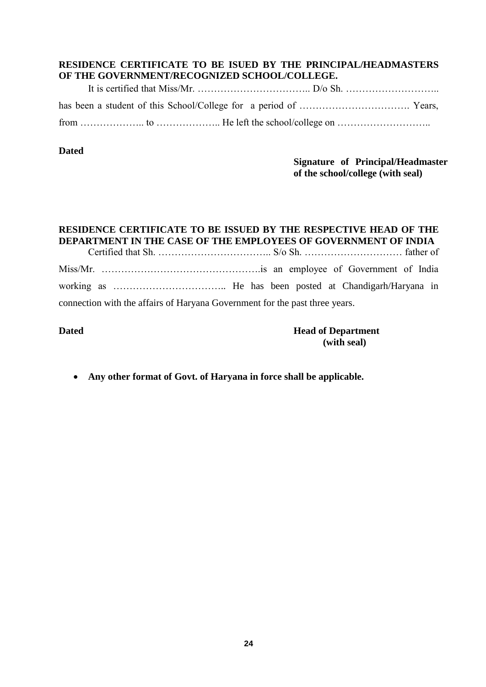# **RESIDENCE CERTIFICATE TO BE ISUED BY THE PRINCIPAL/HEADMASTERS OF THE GOVERNMENT/RECOGNIZED SCHOOL/COLLEGE.**

## **Dated**

# **Signature of Principal/Headmaster of the school/college (with seal)**

#### **RESIDENCE CERTIFICATE TO BE ISSUED BY THE RESPECTIVE HEAD OF THE DEPARTMENT IN THE CASE OF THE EMPLOYEES OF GOVERNMENT OF INDIA**

Certified that Sh. …………………………….. S/o Sh. ………………………… father of Miss/Mr. ………………………………………….is an employee of Government of India working as …………………………….. He has been posted at Chandigarh/Haryana in connection with the affairs of Haryana Government for the past three years.

# **Dated Head of Department (with seal)**

**Any other format of Govt. of Haryana in force shall be applicable.**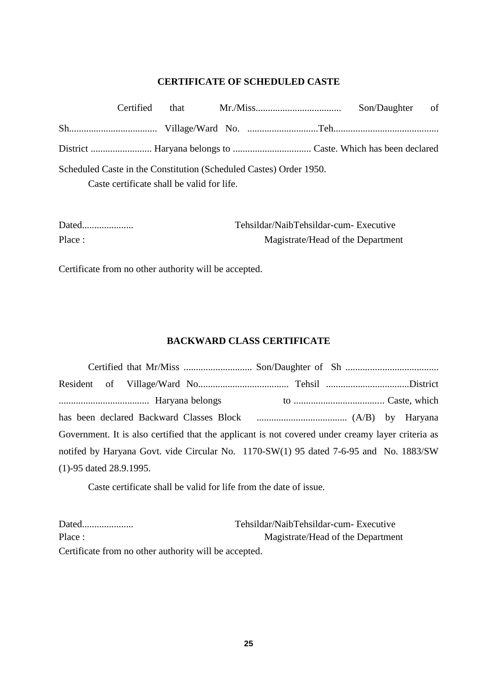# **CERTIFICATE OF SCHEDULED CASTE**

| Certified |                                            |                                                                    | Son/Daughter of |
|-----------|--------------------------------------------|--------------------------------------------------------------------|-----------------|
|           |                                            |                                                                    |                 |
|           |                                            |                                                                    |                 |
|           |                                            | Scheduled Caste in the Constitution (Scheduled Castes) Order 1950. |                 |
|           | Caste certificate shall be valid for life. |                                                                    |                 |
|           |                                            |                                                                    |                 |

| Dated  | Tehsildar/NaibTehsildar-cum- Executive |
|--------|----------------------------------------|
| Place: | Magistrate/Head of the Department      |

Certificate from no other authority will be accepted.

# **BACKWARD CLASS CERTIFICATE**

|                            |  | Government. It is also certified that the applicant is not covered under creamy layer criteria as |  |  |
|----------------------------|--|---------------------------------------------------------------------------------------------------|--|--|
|                            |  | notifed by Haryana Govt. vide Circular No. 1170-SW(1) 95 dated 7-6-95 and No. 1883/SW             |  |  |
| $(1)$ -95 dated 28.9.1995. |  |                                                                                                   |  |  |

Caste certificate shall be valid for life from the date of issue.

| Dated                                                 | Tehsildar/NaibTehsildar-cum-Executive |
|-------------------------------------------------------|---------------------------------------|
| Place:                                                | Magistrate/Head of the Department     |
| Certificate from no other authority will be accepted. |                                       |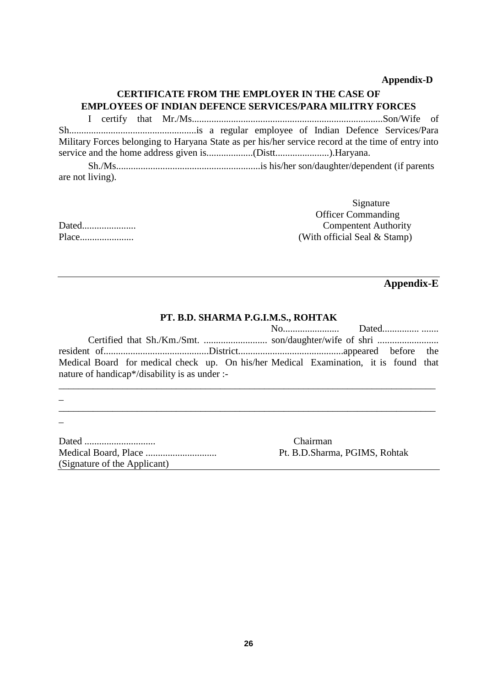#### **Appendix-D**

# **CERTIFICATE FROM THE EMPLOYER IN THE CASE OF EMPLOYEES OF INDIAN DEFENCE SERVICES/PARA MILITRY FORCES**

I certify that Mr./Ms..............................................................................Son/Wife of Sh....................................................is a regular employee of Indian Defence Services/Para Military Forces belonging to Haryana State as per his/her service record at the time of entry into service and the home address given is...................(Distt......................).Haryana.

Sh./Ms...........................................................is his/her son/daughter/dependent (if parents are not living).

|       | 515100000                    |
|-------|------------------------------|
|       | <b>Officer Commanding</b>    |
| Dated | <b>Compentent Authority</b>  |
| Place | (With official Seal & Stamp) |

# **Appendix-E**

Signature

#### **PT. B.D. SHARMA P.G.I.M.S., ROHTAK**

| Medical Board for medical check up. On his/her Medical Examination, it is found that |  |  |
|--------------------------------------------------------------------------------------|--|--|
| nature of handicap*/disability is as under :-                                        |  |  |

\_\_\_\_\_\_\_\_\_\_\_\_\_\_\_\_\_\_\_\_\_\_\_\_\_\_\_\_\_\_\_\_\_\_\_\_\_\_\_\_\_\_\_\_\_\_\_\_\_\_\_\_\_\_\_\_\_\_\_\_\_\_\_\_\_\_\_\_\_\_\_\_\_\_\_\_\_

\_\_\_\_\_\_\_\_\_\_\_\_\_\_\_\_\_\_\_\_\_\_\_\_\_\_\_\_\_\_\_\_\_\_\_\_\_\_\_\_\_\_\_\_\_\_\_\_\_\_\_\_\_\_\_\_\_\_\_\_\_\_\_\_\_\_\_\_\_\_\_\_\_\_\_\_\_

Dated ............................. Chairman Medical Board, Place ............................. Pt. B.D.Sharma, PGIMS, Rohtak (Signature of the Applicant)

\_

 $\overline{a}$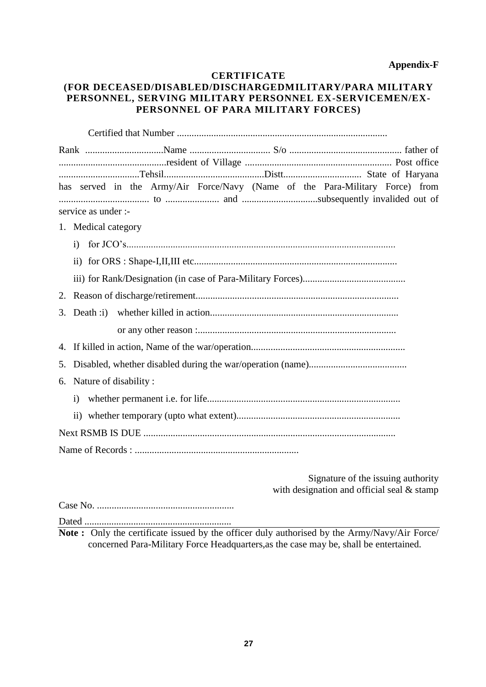#### **Appendix-F**

#### **CERTIFICATE**

# **(FOR DECEASED/DISABLED/DISCHARGEDMILITARY/PARA MILITARY PERSONNEL, SERVING MILITARY PERSONNEL EX-SERVICEMEN/EX-PERSONNEL OF PARA MILITARY FORCES)**

|    | has served in the Army/Air Force/Navy (Name of the Para-Military Force) from |
|----|------------------------------------------------------------------------------|
|    | service as under :-                                                          |
|    | 1. Medical category                                                          |
|    |                                                                              |
|    |                                                                              |
|    |                                                                              |
| 2. |                                                                              |
| 3. |                                                                              |
|    |                                                                              |
|    |                                                                              |
|    |                                                                              |
|    | 6. Nature of disability:                                                     |
|    | $\ddot{1}$                                                                   |
|    |                                                                              |
|    |                                                                              |
|    |                                                                              |
|    |                                                                              |

Signature of the issuing authority with designation and official seal & stamp

Case No. ........................................................ Dated ............................................................

**Note :** Only the certificate issued by the officer duly authorised by the Army/Navy/Air Force/ concerned Para-Military Force Headquarters,as the case may be, shall be entertained.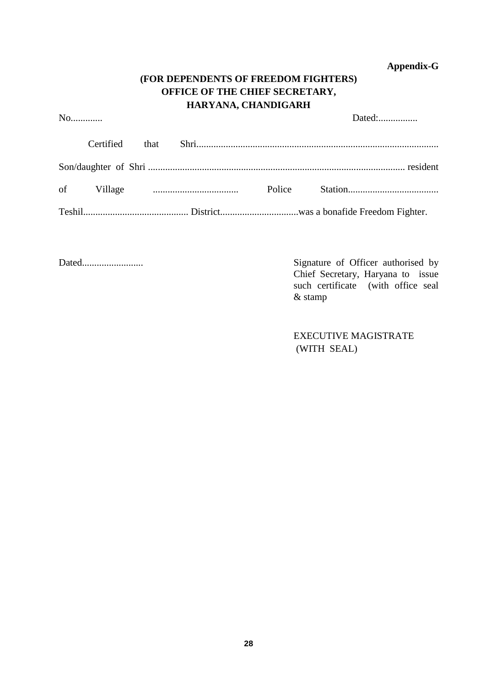**Appendix-G**

# **(FOR DEPENDENTS OF FREEDOM FIGHTERS) OFFICE OF THE CHIEF SECRETARY, HARYANA, CHANDIGARH**

No............. Dated:................

| Certified |  |  |
|-----------|--|--|
|           |  |  |
|           |  |  |
|           |  |  |

Dated......................... Signature of Officer authorised by Chief Secretary, Haryana to issue such certificate (with office seal & stamp

> EXECUTIVE MAGISTRATE (WITH SEAL)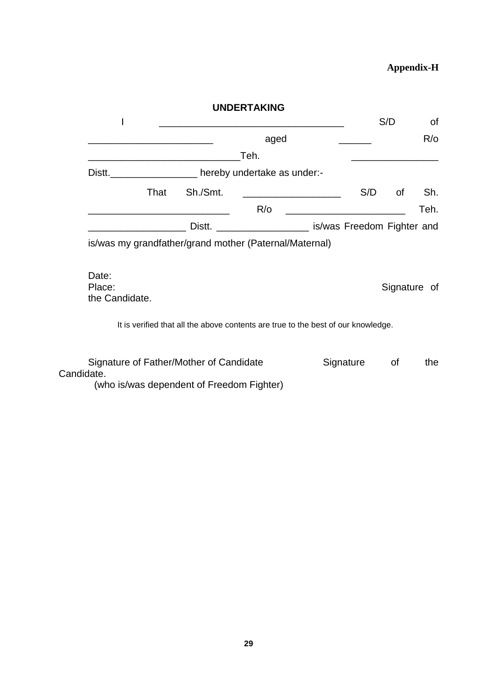# **Appendix-H**

|                                   |      |          | <b>UNDERTAKING</b>                                                                |                                                   |     |     |               |
|-----------------------------------|------|----------|-----------------------------------------------------------------------------------|---------------------------------------------------|-----|-----|---------------|
|                                   |      |          | <u> 1989 - Johann Barbara, martin a</u>                                           |                                                   |     | S/D | 0f            |
|                                   |      |          | aged                                                                              |                                                   |     |     | $R$ / $\circ$ |
|                                   |      |          | Teh.                                                                              |                                                   |     |     |               |
| Distt.                            |      |          | hereby undertake as under:-                                                       |                                                   |     |     |               |
|                                   | That | Sh./Smt. |                                                                                   |                                                   | S/D | of  | Sh.           |
|                                   |      |          | $R$ / $\circ$                                                                     | <u> 1980 - Jan James James, politik fizikar (</u> |     |     | Teh.          |
|                                   |      |          | Distt. ______________________ is/was Freedom Fighter and                          |                                                   |     |     |               |
| Date:<br>Place:<br>the Candidate. |      |          | is/was my grandfather/grand mother (Paternal/Maternal)                            |                                                   |     |     | Signature of  |
|                                   |      |          |                                                                                   |                                                   |     |     |               |
|                                   |      |          | It is verified that all the above contents are true to the best of our knowledge. |                                                   |     |     |               |

(who is/was dependent of Freedom Fighter)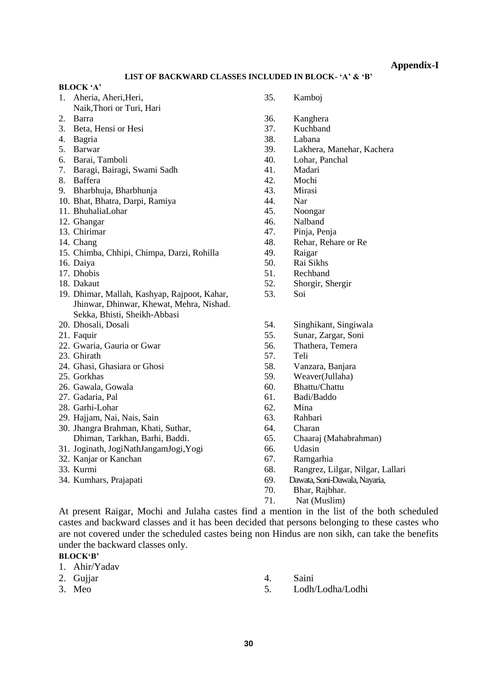**Appendix-I**

#### **LIST OF BACKWARD CLASSES INCLUDED IN BLOCK- 'A' & 'B'**

#### **BLOCK 'A'**

- 1. Aheria, Aheri,Heri, 35. Kamboj Naik,Thori or Turi, Hari
- 
- 3. Beta, Hensi or Hesi 37. Kuchband
- 
- 
- 
- 7. Baragi, Bairagi, Swami Sadh 41. Madari
- 
- 9. Bharbhuja, Bharbhunja 43. Mirasi
- 10. Bhat, Bhatra, Darpi, Ramiya 44. Nar
- 11. BhuhaliaLohar 45. Noongar
- 12. Ghangar 46. Nalband
- 
- 
- 15. Chimba, Chhipi, Chimpa, Darzi, Rohilla 49. Raigar
- 
- 17. Dhobis 51. Rechband
- 
- 19. Dhimar, Mallah, Kashyap, Rajpoot, Kahar, 53. Soi Jhinwar, Dhinwar, Khewat, Mehra, Nishad. Sekka, Bhisti, Sheikh-Abbasi
- 
- 
- 22. Gwaria, Gauria or Gwar 1988 1998 1999 10. Stollar 1. Thathera, Temera
- 
- 24. Ghasi, Ghasiara or Ghosi 58. Vanzara, Banjara
- 
- 26. Gawala, Gowala 60. Bhattu/Chattu
- 
- 28. Garhi-Lohar 62. Mina
- 29. Hajjam, Nai, Nais, Sain 63. Rahbari
- 30. Jhangra Brahman, Khati, Suthar, 64. Charan Dhiman, Tarkhan, Barhi, Baddi. 65. Chaaraj (Mahabrahman)
- 31. Joginath, JogiNathJangamJogi,Yogi 66. Udasin
- 32. Kanjar or Kanchan 67. Ramgarhia
- 
- 
- 
- 2. Barra 36. Kanghera
	-
- 4. Bagria 38. Labana
- 5. Barwar 39. Lakhera, Manehar, Kachera
- 6. Barai, Tamboli 40. Lohar, Panchal
	-
- 8. Baffera 42. Mochi
	-
	-
	-
	-
- 13. Chirimar 47. Pinja, Penja
- 14. Chang 48. Rehar, Rehare or Re
	-
- 16. Daiya 50. Rai Sikhs
	-
- 18. Dakaut 52. Shorgir, Shergir
	-
- 20. Dhosali, Dosali 54. Singhikant, Singiwala
- 21. Faquir 55. Sunar, Zargar, Soni
	-
- 23. Ghirath 57. Teli
	-
- 25. Gorkhas 59. Weaver(Jullaha)
	-
- 27. Gadaria, Pal 61. Badi/Baddo
	-
	-
	-
	-
	-
	-
- 33. Kurmi 68. Rangrez, Lilgar, Nilgar, Lallari
- 34. Kumhars, Prajapati 69. Dawata, Soni-Dawala, Nayaria,
	- 70. Bhar, Rajbhar.
	- 71. Nat (Muslim)

At present Raigar, Mochi and Julaha castes find a mention in the list of the both scheduled castes and backward classes and it has been decided that persons belonging to these castes who are not covered under the scheduled castes being non Hindus are non sikh, can take the benefits under the backward classes only.

- **BLOCK'B'**
- 1. Ahir/Yadav
- 
- 
- 2. Gujjar 4. Saini
- 3. Meo 5. Lodh/Lodha/Lodhi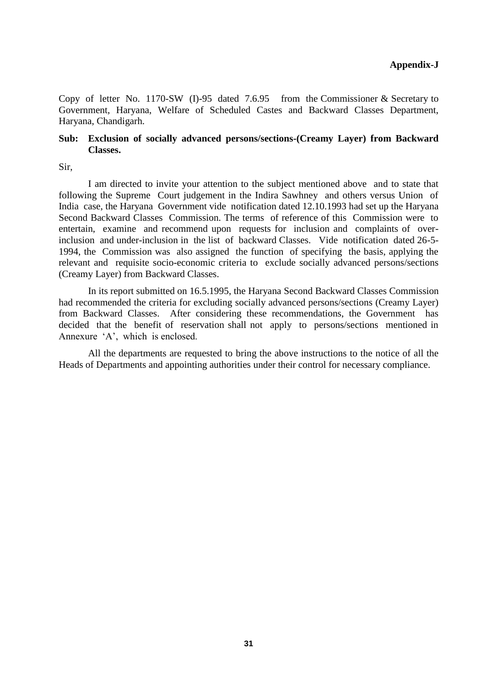Copy of letter No. 1170-SW (I)-95 dated 7.6.95 from the Commissioner & Secretary to Government, Haryana, Welfare of Scheduled Castes and Backward Classes Department, Haryana, Chandigarh.

#### **Sub: Exclusion of socially advanced persons/sections-(Creamy Layer) from Backward Classes.**

Sir,

I am directed to invite your attention to the subject mentioned above and to state that following the Supreme Court judgement in the Indira Sawhney and others versus Union of India case, the Haryana Government vide notification dated 12.10.1993 had set up the Haryana Second Backward Classes Commission. The terms of reference of this Commission were to entertain, examine and recommend upon requests for inclusion and complaints of overinclusion and under-inclusion in the list of backward Classes. Vide notification dated 26-5- 1994, the Commission was also assigned the function of specifying the basis, applying the relevant and requisite socio-economic criteria to exclude socially advanced persons/sections (Creamy Layer) from Backward Classes.

In its report submitted on 16.5.1995, the Haryana Second Backward Classes Commission had recommended the criteria for excluding socially advanced persons/sections (Creamy Layer) from Backward Classes. After considering these recommendations, the Government has decided that the benefit of reservation shall not apply to persons/sections mentioned in Annexure 'A', which is enclosed.

All the departments are requested to bring the above instructions to the notice of all the Heads of Departments and appointing authorities under their control for necessary compliance.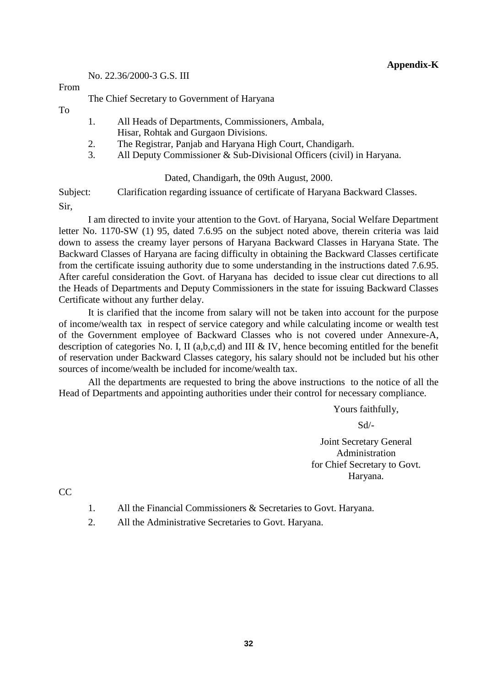No. 22.36/2000-3 G.S. III

#### From

The Chief Secretary to Government of Haryana

To

- 1. All Heads of Departments, Commissioners, Ambala, Hisar, Rohtak and Gurgaon Divisions.
- 2. The Registrar, Panjab and Haryana High Court, Chandigarh.
- 3. All Deputy Commissioner & Sub-Divisional Officers (civil) in Haryana.

#### Dated, Chandigarh, the 09th August, 2000.

Subject: Clarification regarding issuance of certificate of Haryana Backward Classes.

Sir,

I am directed to invite your attention to the Govt. of Haryana, Social Welfare Department letter No. 1170-SW (1) 95, dated 7.6.95 on the subject noted above, therein criteria was laid down to assess the creamy layer persons of Haryana Backward Classes in Haryana State. The Backward Classes of Haryana are facing difficulty in obtaining the Backward Classes certificate from the certificate issuing authority due to some understanding in the instructions dated 7.6.95. After careful consideration the Govt. of Haryana has decided to issue clear cut directions to all the Heads of Departments and Deputy Commissioners in the state for issuing Backward Classes Certificate without any further delay.

It is clarified that the income from salary will not be taken into account for the purpose of income/wealth tax in respect of service category and while calculating income or wealth test of the Government employee of Backward Classes who is not covered under Annexure-A, description of categories No. I, II (a,b,c,d) and III & IV, hence becoming entitled for the benefit of reservation under Backward Classes category, his salary should not be included but his other sources of income/wealth be included for income/wealth tax.

All the departments are requested to bring the above instructions to the notice of all the Head of Departments and appointing authorities under their control for necessary compliance.

Yours faithfully,

Sd/-

Joint Secretary General Administration for Chief Secretary to Govt. Haryana.

CC

- 1. All the Financial Commissioners & Secretaries to Govt. Haryana.
- 2. All the Administrative Secretaries to Govt. Haryana.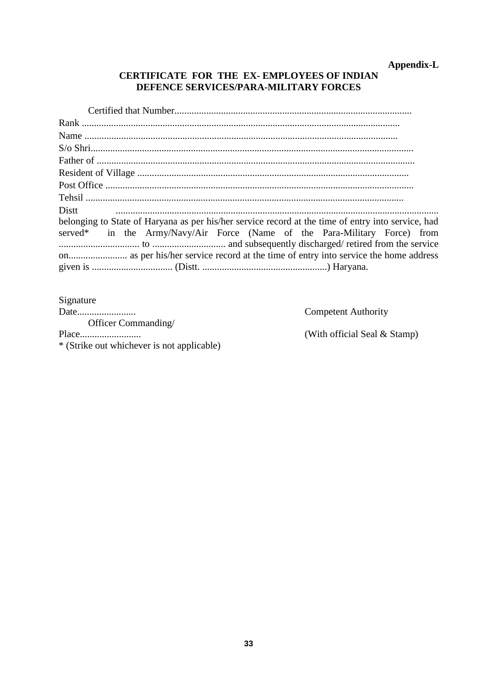# Appendix-L

# CERTIFICATE FOR THE EX-EMPLOYEES OF INDIAN DEFENCE SERVICES/PARA-MILITARY FORCES

| Distt                                                                                              |
|----------------------------------------------------------------------------------------------------|
| belonging to State of Haryana as per his/her service record at the time of entry into service, had |
| served* in the Army/Navy/Air Force (Name of the Para-Military Force) from                          |
|                                                                                                    |
|                                                                                                    |

Signature Officer Commanding/ \* (Strike out whichever is not applicable)

**Competent Authority** 

(With official Seal & Stamp)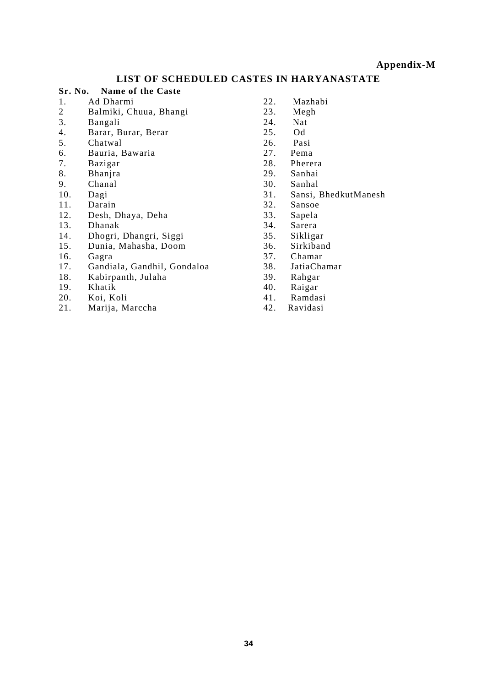#### **Appendix-M**

# **LIST OF SCHEDULED CASTES IN HARYANASTATE**

#### **Sr. No. Name of the Caste**

- 1. Ad Dharmi
- 2 Balmiki, Chuua, Bhangi
- 3. Bangali
- 4. Barar, Burar, Berar
- 5. Chatwal
- 6. Bauria, Bawaria
- 7. Bazigar
- 8. Bhanjra
- Chanal
- 10. Dagi
- 11. Darain<br>12. Desh. I
- Desh, Dhaya, Deha
- 13. Dhanak
- 14. Dhogri, Dhangri, Siggi
- 15. Dunia, Mahasha, Doom
- 16. Gagra
- 17. Gandiala, Gandhil, Gondaloa
- 18. Kabirpanth, Julaha
- 19. Khatik
- 20. Koi, Koli<br>21. Marija, M
- Marija, Marccha
- 22. Mazhabi
- 23. Megh
- 24. Nat<br>25 Od
- $25.$
- 26. Pasi<br>27. Pema
- Pema
- 28. Pherera
- 29. Sanhai
- 30. Sanhal<br>31. Sansi.
- Sansi, BhedkutManesh
- 32. Sansoe
- Sapela
- 34. Sarera
- 35. Sikligar
- 36. Sirkiband<br>37. Chamar
- Chamar
- 38. JatiaChamar
- 39. Rahgar
- 40. Raigar
- 41. Ramdasi Ravidasi
-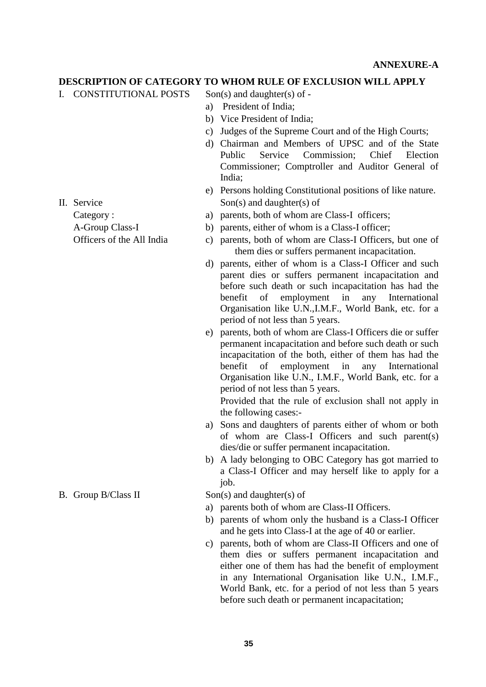#### **DESCRIPTION OF CATEGORY TO WHOM RULE OF EXCLUSION WILL APPLY**

- I. CONSTITUTIONAL POSTS Son(s) and daughter(s) of
	- a) President of India;
	- b) Vice President of India;
	- c) Judges of the Supreme Court and of the High Courts;
	- d) Chairman and Members of UPSC and of the State Public Service Commission; Chief Election Commissioner; Comptroller and Auditor General of India;
- e) Persons holding Constitutional positions of like nature. II. Service Son(s) and daughter(s) of
	- Category : a) parents, both of whom are Class-I officers;
	- A-Group Class-I b) parents, either of whom is a Class-I officer;
	- Officers of the All India c) parents, both of whom are Class-I Officers, but one of them dies or suffers permanent incapacitation.
		- d) parents, either of whom is a Class-I Officer and such parent dies or suffers permanent incapacitation and before such death or such incapacitation has had the benefit of employment in any International Organisation like U.N.,I.M.F., World Bank, etc. for a period of not less than 5 years.
		- e) parents, both of whom are Class-I Officers die or suffer permanent incapacitation and before such death or such incapacitation of the both, either of them has had the benefit of employment in any International Organisation like U.N., I.M.F., World Bank, etc. for a period of not less than 5 years.

Provided that the rule of exclusion shall not apply in the following cases:-

- a) Sons and daughters of parents either of whom or both of whom are Class-I Officers and such parent(s) dies/die or suffer permanent incapacitation.
- b) A lady belonging to OBC Category has got married to a Class-I Officer and may herself like to apply for a job.

B. Group B/Class II  $\text{Son}(s)$  and daughter(s) of

- a) parents both of whom are Class-II Officers.
- b) parents of whom only the husband is a Class-I Officer and he gets into Class-I at the age of 40 or earlier.
- c) parents, both of whom are Class-II Officers and one of them dies or suffers permanent incapacitation and either one of them has had the benefit of employment in any International Organisation like U.N., I.M.F., World Bank, etc. for a period of not less than 5 years before such death or permanent incapacitation;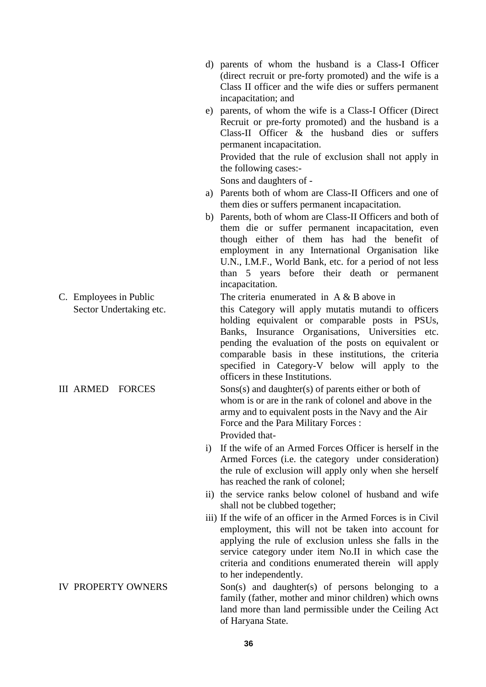- d) parents of whom the husband is a Class-I Officer (direct recruit or pre-forty promoted) and the wife is a Class II officer and the wife dies or suffers permanent incapacitation; and
- e) parents, of whom the wife is a Class-I Officer (Direct Recruit or pre-forty promoted) and the husband is a Class-II Officer & the husband dies or suffers permanent incapacitation.

Provided that the rule of exclusion shall not apply in the following cases:-

Sons and daughters of -

- a) Parents both of whom are Class-II Officers and one of them dies or suffers permanent incapacitation.
- b) Parents, both of whom are Class-II Officers and both of them die or suffer permanent incapacitation, even though either of them has had the benefit of employment in any International Organisation like U.N., I.M.F., World Bank, etc. for a period of not less than 5 years before their death or permanent incapacitation.

C. Employees in Public The criteria enumerated in A & B above in

Sector Undertaking etc. this Category will apply mutatis mutandi to officers holding equivalent or comparable posts in PSUs, Banks, Insurance Organisations, Universities etc. pending the evaluation of the posts on equivalent or comparable basis in these institutions, the criteria specified in Category-V below will apply to the officers in these Institutions.

III ARMED FORCES Sons $(s)$  and daughter $(s)$  of parents either or both of whom is or are in the rank of colonel and above in the army and to equivalent posts in the Navy and the Air Force and the Para Military Forces : Provided that-

- i) If the wife of an Armed Forces Officer is herself in the Armed Forces (i.e. the category under consideration) the rule of exclusion will apply only when she herself has reached the rank of colonel;
- ii) the service ranks below colonel of husband and wife shall not be clubbed together;
- iii) If the wife of an officer in the Armed Forces is in Civil employment, this will not be taken into account for applying the rule of exclusion unless she falls in the service category under item No.II in which case the criteria and conditions enumerated therein will apply to her independently.

IV PROPERTY OWNERS Son(s) and daughter(s) of persons belonging to a family (father, mother and minor children) which owns land more than land permissible under the Ceiling Act of Haryana State.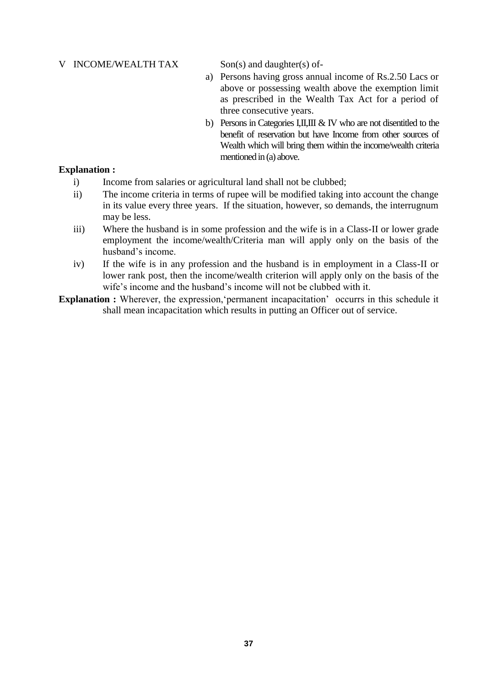#### V INCOME/WEALTH TAX Son(s) and daughter(s) of-

- a) Persons having gross annual income of Rs.2.50 Lacs or above or possessing wealth above the exemption limit as prescribed in the Wealth Tax Act for a period of three consecutive years.
- b) Persons in Categories I,II,III & IV who are not disentitled to the benefit of reservation but have Income from other sources of Wealth which will bring them within the income/wealth criteria mentioned in (a) above.

#### **Explanation :**

- i) Income from salaries or agricultural land shall not be clubbed;
- ii) The income criteria in terms of rupee will be modified taking into account the change in its value every three years. If the situation, however, so demands, the interrugnum may be less.
- iii) Where the husband is in some profession and the wife is in a Class-II or lower grade employment the income/wealth/Criteria man will apply only on the basis of the husband's income.
- iv) If the wife is in any profession and the husband is in employment in a Class-II or lower rank post, then the income/wealth criterion will apply only on the basis of the wife's income and the husband's income will not be clubbed with it.
- **Explanation :** Wherever, the expression, permanent incapacitation occurrs in this schedule it shall mean incapacitation which results in putting an Officer out of service.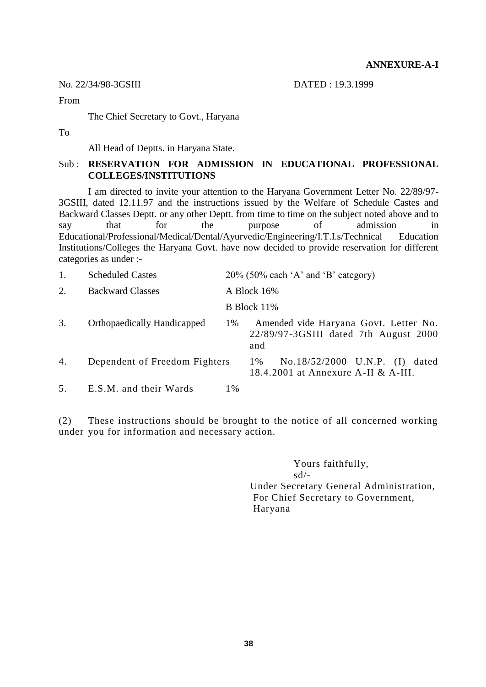No. 22/34/98-3GSIII DATED : 19.3.1999

From

The Chief Secretary to Govt., Haryana

To

All Head of Deptts. in Haryana State.

## Sub : **RESERVATION FOR ADMISSION IN EDUCATIONAL PROFESSIONAL COLLEGES/INSTITUTIONS**

I am directed to invite your attention to the Haryana Government Letter No. 22/89/97- 3GSIII, dated 12.11.97 and the instructions issued by the Welfare of Schedule Castes and Backward Classes Deptt. or any other Deptt. from time to time on the subject noted above and to say that for the purpose of admission in Educational/Professional/Medical/Dental/Ayurvedic/Engineering/I.T.I.s/Technical Education Institutions/Colleges the Haryana Govt. have now decided to provide reservation for different categories as under :-

| 1. | <b>Scheduled Castes</b>            |             | $20\%$ (50% each 'A' and 'B' category)                                                |  |  |  |
|----|------------------------------------|-------------|---------------------------------------------------------------------------------------|--|--|--|
| 2. | <b>Backward Classes</b>            | A Block 16% |                                                                                       |  |  |  |
|    |                                    |             | B Block 11%                                                                           |  |  |  |
| 3. | <b>Orthopaedically Handicapped</b> | 1%          | Amended vide Haryana Govt. Letter No.<br>22/89/97-3GSIII dated 7th August 2000<br>and |  |  |  |
| 4. | Dependent of Freedom Fighters      |             | No.18/52/2000 U.N.P. (I) dated<br>1 %<br>18.4.2001 at Annexure A-II & A-III.          |  |  |  |
| 5. | E.S.M. and their Wards             | 1%          |                                                                                       |  |  |  |

(2) These instructions should be brought to the notice of all concerned working under you for information and necessary action.

> Yours faithfully, sd/- Under Secretary General Administration, For Chief Secretary to Government, Haryana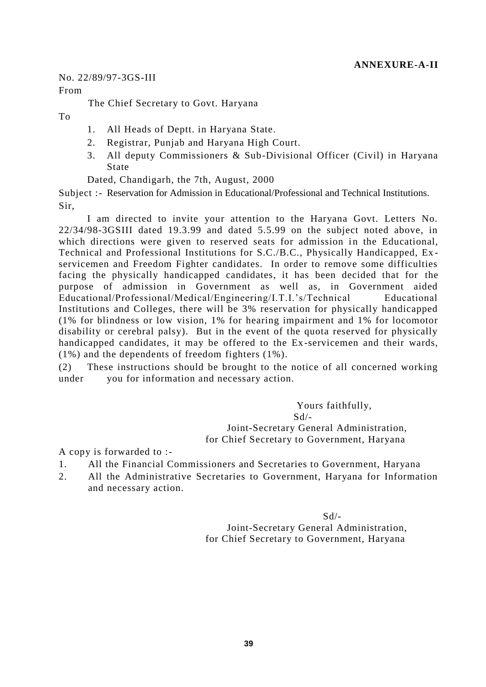No. 22/89/97-3GS-III

From

The Chief Secretary to Govt. Haryana

To

- 1. All Heads of Deptt. in Haryana State.
- 2. Registrar, Punjab and Haryana High Court.
- 3. All deputy Commissioners & Sub-Divisional Officer (Civil) in Haryana State

Dated, Chandigarh, the 7th, August, 2000

Subject :- Reservation for Admission in Educational/Professional and Technical Institutions. Sir,

I am directed to invite your attention to the Haryana Govt. Letters No. 22/34/98-3GSIII dated 19.3.99 and dated 5.5.99 on the subject noted above, in which directions were given to reserved seats for admission in the Educational, Technical and Professional Institutions for S.C./B.C., Physically Handicapped, Ex servicemen and Freedom Fighter candidates. In order to remove some difficulties facing the physically handicapped candidates, it has been decided that for the purpose of admission in Government as well as, in Government aided Educational/Professional/Medical/Engineering/I.T.I.'s/Technical Educational Institutions and Colleges, there will be 3% reservation for physically handicapped (1% for blindness or low vision, 1% for hearing impairment and 1% for locomotor disability or cerebral palsy). But in the event of the quota reserved for physically handicapped candidates, it may be offered to the Ex-servicemen and their wards, (1%) and the dependents of freedom fighters (1%).

(2) These instructions should be brought to the notice of all concerned working under you for information and necessary action.

> Yours faithfully,  $Sd/-$  Joint-Secretary General Administration, for Chief Secretary to Government, Haryana

A copy is forwarded to :-

- 1. All the Financial Commissioners and Secretaries to Government, Haryana
- 2. All the Administrative Secretaries to Government, Haryana for Information and necessary action.

 $Sd/$ - Joint-Secretary General Administration, for Chief Secretary to Government, Haryana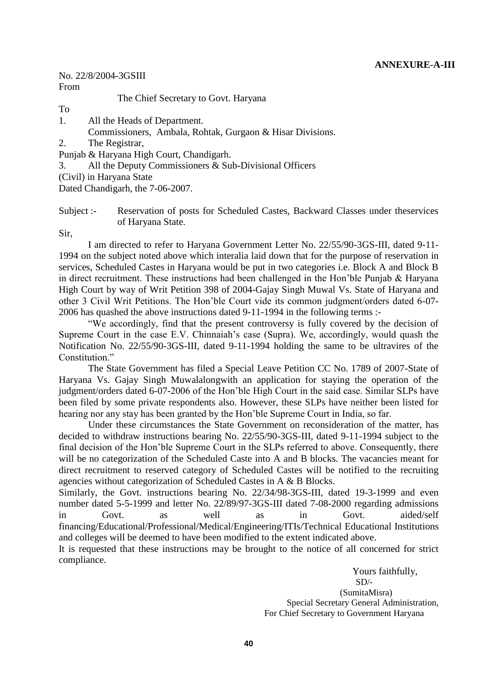#### **ANNEXURE-A-III**

# No. 22/8/2004-3GSIII

From

The Chief Secretary to Govt. Haryana

To

- 1. All the Heads of Department.
	- Commissioners, Ambala, Rohtak, Gurgaon & Hisar Divisions.
- 2. The Registrar,
- Punjab & Haryana High Court, Chandigarh.
- 3. All the Deputy Commissioners & Sub-Divisional Officers
- (Civil) in Haryana State

Dated Chandigarh, the 7-06-2007.

Subject :- Reservation of posts for Scheduled Castes, Backward Classes under theservices of Haryana State.

Sir,

I am directed to refer to Haryana Government Letter No. 22/55/90-3GS-III, dated 9-11- 1994 on the subject noted above which interalia laid down that for the purpose of reservation in services, Scheduled Castes in Haryana would be put in two categories i.e. Block A and Block B in direct recruitment. These instructions had been challenged in the Hon'ble Punjab & Haryana High Court by way of Writ Petition 398 of 2004-Gajay Singh Muwal Vs. State of Haryana and other 3 Civil Writ Petitions. The Hon'ble Court vide its common judgment/orders dated 6-07- 2006 has quashed the above instructions dated 9-11-1994 in the following terms :-

"We accordingly, find that the present controversy is fully covered by the decision of Supreme Court in the case E.V. Chinnaiah's case (Supra). We, accordingly, would quash the Notification No. 22/55/90-3GS-III, dated 9-11-1994 holding the same to be ultravires of the Constitution."

The State Government has filed a Special Leave Petition CC No. 1789 of 2007-State of Haryana Vs. Gajay Singh Muwalalongwith an application for staying the operation of the judgment/orders dated 6-07-2006 of the Hon'ble High Court in the said case. Similar SLPs have been filed by some private respondents also. However, these SLPs have neither been listed for hearing nor any stay has been granted by the Hon'ble Supreme Court in India, so far.

Under these circumstances the State Government on reconsideration of the matter, has decided to withdraw instructions bearing No. 22/55/90-3GS-III, dated 9-11-1994 subject to the final decision of the Hon'ble Supreme Court in the SLPs referred to above. Consequently, there will be no categorization of the Scheduled Caste into A and B blocks. The vacancies meant for direct recruitment to reserved category of Scheduled Castes will be notified to the recruiting agencies without categorization of Scheduled Castes in A & B Blocks.

Similarly, the Govt. instructions bearing No. 22/34/98-3GS-III, dated 19-3-1999 and even number dated 5-5-1999 and letter No. 22/89/97-3GS-III dated 7-08-2000 regarding admissions in Govt. as well as in Govt. aided/self financing/Educational/Professional/Medical/Engineering/ITIs/Technical Educational Institutions and colleges will be deemed to have been modified to the extent indicated above.

It is requested that these instructions may be brought to the notice of all concerned for strict compliance.

> Yours faithfully,  $SD/$ (SumitaMisra)

Special Secretary General Administration, For Chief Secretary to Government Haryana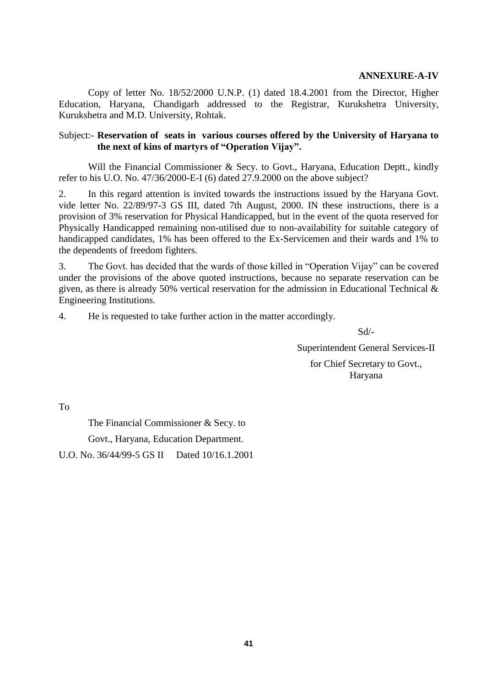Copy of letter No. 18/52/2000 U.N.P. (1) dated 18.4.2001 from the Director, Higher Education, Haryana, Chandigarh addressed to the Registrar, Kurukshetra University, Kurukshetra and M.D. University, Rohtak.

#### Subject:- **Reservation of seats in various courses offered by the University of Haryana to the next of kins of martyrs of "Operation Vijay".**

Will the Financial Commissioner & Secy. to Govt., Haryana, Education Deptt., kindly refer to his U.O. No. 47/36/2000-E-I (6) dated 27.9.2000 on the above subject?

2. In this regard attention is invited towards the instructions issued by the Haryana Govt. vide letter No. 22/89/97-3 GS III, dated 7th August, 2000. IN these instructions, there is a provision of 3% reservation for Physical Handicapped, but in the event of the quota reserved for Physically Handicapped remaining non-utilised due to non-availability for suitable category of handicapped candidates, 1% has been offered to the Ex-Servicemen and their wards and 1% to the dependents of freedom fighters.

3. The Govt. has decided that the wards of those killed in "Operation Vijay" can be covered under the provisions of the above quoted instructions, because no separate reservation can be given, as there is already 50% vertical reservation for the admission in Educational Technical & Engineering Institutions.

4. He is requested to take further action in the matter accordingly.

Sd/-

Superintendent General Services-II

for Chief Secretary to Govt., Haryana

To

The Financial Commissioner & Secy. to Govt., Haryana, Education Department.

U.O. No. 36/44/99-5 GS II Dated 10/16.1.2001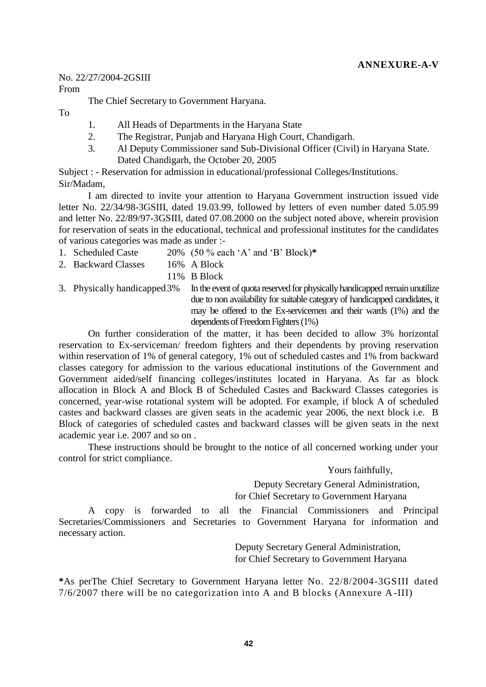# **ANNEXURE-A-V**

No. 22/27/2004-2GSIII

From

The Chief Secretary to Government Haryana.

To

- 1. All Heads of Departments in the Haryana State
- 2. The Registrar, Punjab and Haryana High Court, Chandigarh.
- 3. Al Deputy Commissioner sand Sub-Divisional Officer (Civil) in Haryana State. Dated Chandigarh, the October 20, 2005

Subject : - Reservation for admission in educational/professional Colleges/Institutions. Sir/Madam,

I am directed to invite your attention to Haryana Government instruction issued vide letter No. 22/34/98-3GSIII, dated 19.03.99, followed by letters of even number dated 5.05.99 and letter No. 22/89/97-3GSIII, dated 07.08.2000 on the subject noted above, wherein provision for reservation of seats in the educational, technical and professional institutes for the candidates of various categories was made as under :-

- 1. Scheduled Caste 20% (50 % each 'A' and 'B' Block)**\***
- 2. Backward Classes 16% A Block
	- 11% B Block
- 3. Physically handicapped3% In the event of quota reserved for physically handicapped remain unutilize due to non availability for suitable category of handicapped candidates, it may be offered to the Ex-servicemen and their wards (1%) and the dependents of Freedom Fighters (1%)

On further consideration of the matter, it has been decided to allow 3% horizontal reservation to Ex-serviceman/ freedom fighters and their dependents by proving reservation within reservation of 1% of general category, 1% out of scheduled castes and 1% from backward classes category for admission to the various educational institutions of the Government and Government aided/self financing colleges/institutes located in Haryana. As far as block allocation in Block A and Block B of Scheduled Castes and Backward Classes categories is concerned, year-wise rotational system will be adopted. For example, if block A of scheduled castes and backward classes are given seats in the academic year 2006, the next block i.e. B Block of categories of scheduled castes and backward classes will be given seats in the next academic year i.e. 2007 and so on .

These instructions should be brought to the notice of all concerned working under your control for strict compliance.

Yours faithfully,

Deputy Secretary General Administration, for Chief Secretary to Government Haryana

A copy is forwarded to all the Financial Commissioners and Principal Secretaries/Commissioners and Secretaries to Government Haryana for information and necessary action.

> Deputy Secretary General Administration, for Chief Secretary to Government Haryana

**\***As perThe Chief Secretary to Government Haryana letter No. 22/8/2004-3GSIII dated 7/6/2007 there will be no categorization into A and B blocks (Annexure A -III)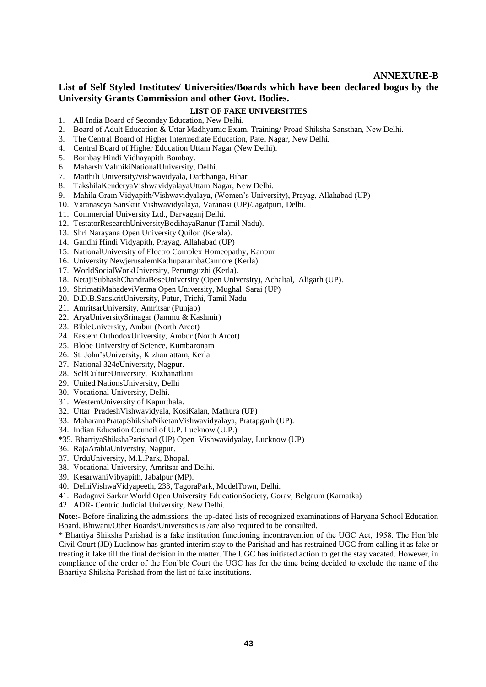#### **ANNEXURE-B**

## **List of Self Styled Institutes/ Universities/Boards which have been declared bogus by the University Grants Commission and other Govt. Bodies.**

#### **LIST OF FAKE UNIVERSITIES**

- 1. All India Board of Seconday Education, New Delhi.
- 2. Board of Adult Education & Uttar Madhyamic Exam. Training/ Proad Shiksha Sansthan, New Delhi.
- 3. The Central Board of Higher Intermediate Education, Patel Nagar, New Delhi.
- 4. Central Board of Higher Education Uttam Nagar (New Delhi).
- 5. Bombay Hindi Vidhayapith Bombay.
- 6. MaharshiValmikiNationalUniversity, Delhi.
- 7. Maithili University/vishwavidyala, Darbhanga, Bihar
- 8. TakshilaKenderyaVishwavidyalayaUttam Nagar, New Delhi.
- 9. Mahila Gram Vidyapith/Vishwavidyalaya, (Women's University), Prayag, Allahabad (UP)
- 10. Varanaseya Sanskrit Vishwavidyalaya, Varanasi (UP)/Jagatpuri, Delhi.
- 11. Commercial University Ltd., Daryaganj Delhi.
- 12. TestatorResearchUniversityBodihayaRanur (Tamil Nadu).
- 13. Shri Narayana Open University Quilon (Kerala).
- 14. Gandhi Hindi Vidyapith, Prayag, Allahabad (UP)
- 15. NationalUniversity of Electro Complex Homeopathy, Kanpur
- 16. University NewjerusalemKathuparambaCannore (Kerla)
- 17. WorldSocialWorkUniversity, Perumguzhi (Kerla).
- 18. NetajiSubhashChandraBoseUniversity (Open University), Achaltal, Aligarh (UP).
- 19. ShrimatiMahadeviVerma Open University, Mughal Sarai (UP)
- 20. D.D.B.SanskritUniversity, Putur, Trichi, Tamil Nadu
- 21. AmritsarUniversity, Amritsar (Punjab)
- 22. AryaUniversitySrinagar (Jammu & Kashmir)
- 23. BibleUniversity, Ambur (North Arcot)
- 24. Eastern OrthodoxUniversity, Ambur (North Arcot)
- 25. Blobe University of Science, Kumbaronam
- 26. St. John'sUniversity, Kizhan attam, Kerla
- 27. National 324eUniversity, Nagpur.
- 28. SelfCultureUniversity, Kizhanatlani
- 29. United NationsUniversity, Delhi
- 30. Vocational University, Delhi.
- 31. WesternUniversity of Kapurthala.
- 32. Uttar PradeshVishwavidyala, KosiKalan, Mathura (UP)
- 33. MaharanaPratapShikshaNiketanVishwavidyalaya, Pratapgarh (UP).
- 34. Indian Education Council of U.P. Lucknow (U.P.)
- \*35. BhartiyaShikshaParishad (UP) Open Vishwavidyalay, Lucknow (UP)
- 36. RajaArabiaUniversity, Nagpur.
- 37. UrduUniversity, M.L.Park, Bhopal.
- 38. Vocational University, Amritsar and Delhi.
- 39. KesarwaniVibyapith, Jabalpur (MP).
- 40. DelhiVishwaVidyapeeth, 233, TagoraPark, ModelTown, Delhi.
- 41. Badagnvi Sarkar World Open University EducationSociety, Gorav, Belgaum (Karnatka)
- 42. ADR- Centric Judicial University, New Delhi.

**Note:-** Before finalizing the admissions, the up-dated lists of recognized examinations of Haryana School Education Board, Bhiwani/Other Boards/Universities is /are also required to be consulted.

\* Bhartiya Shiksha Parishad is a fake institution functioning incontravention of the UGC Act, 1958. The Hon'ble Civil Court (JD) Lucknow has granted interim stay to the Parishad and has restrained UGC from calling it as fake or treating it fake till the final decision in the matter. The UGC has initiated action to get the stay vacated. However, in compliance of the order of the Hon'ble Court the UGC has for the time being decided to exclude the name of the Bhartiya Shiksha Parishad from the list of fake institutions.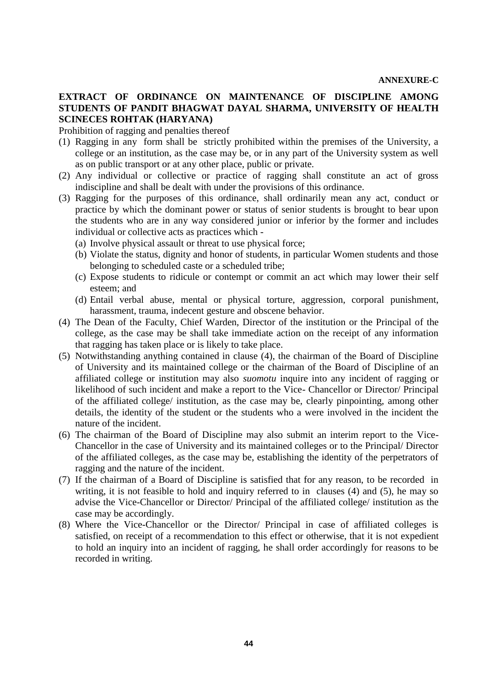## **EXTRACT OF ORDINANCE ON MAINTENANCE OF DISCIPLINE AMONG STUDENTS OF PANDIT BHAGWAT DAYAL SHARMA, UNIVERSITY OF HEALTH SCINECES ROHTAK (HARYANA)**

Prohibition of ragging and penalties thereof

- (1) Ragging in any form shall be strictly prohibited within the premises of the University, a college or an institution, as the case may be, or in any part of the University system as well as on public transport or at any other place, public or private.
- (2) Any individual or collective or practice of ragging shall constitute an act of gross indiscipline and shall be dealt with under the provisions of this ordinance.
- (3) Ragging for the purposes of this ordinance, shall ordinarily mean any act, conduct or practice by which the dominant power or status of senior students is brought to bear upon the students who are in any way considered junior or inferior by the former and includes individual or collective acts as practices which -
	- (a) Involve physical assault or threat to use physical force;
	- (b) Violate the status, dignity and honor of students, in particular Women students and those belonging to scheduled caste or a scheduled tribe;
	- (c) Expose students to ridicule or contempt or commit an act which may lower their self esteem; and
	- (d) Entail verbal abuse, mental or physical torture, aggression, corporal punishment, harassment, trauma, indecent gesture and obscene behavior.
- (4) The Dean of the Faculty, Chief Warden, Director of the institution or the Principal of the college, as the case may be shall take immediate action on the receipt of any information that ragging has taken place or is likely to take place.
- (5) Notwithstanding anything contained in clause (4), the chairman of the Board of Discipline of University and its maintained college or the chairman of the Board of Discipline of an affiliated college or institution may also *suomotu* inquire into any incident of ragging or likelihood of such incident and make a report to the Vice- Chancellor or Director/ Principal of the affiliated college/ institution, as the case may be, clearly pinpointing, among other details, the identity of the student or the students who a were involved in the incident the nature of the incident.
- (6) The chairman of the Board of Discipline may also submit an interim report to the Vice-Chancellor in the case of University and its maintained colleges or to the Principal/ Director of the affiliated colleges, as the case may be, establishing the identity of the perpetrators of ragging and the nature of the incident.
- (7) If the chairman of a Board of Discipline is satisfied that for any reason, to be recorded in writing, it is not feasible to hold and inquiry referred to in clauses (4) and (5), he may so advise the Vice-Chancellor or Director/ Principal of the affiliated college/ institution as the case may be accordingly.
- (8) Where the Vice-Chancellor or the Director/ Principal in case of affiliated colleges is satisfied, on receipt of a recommendation to this effect or otherwise, that it is not expedient to hold an inquiry into an incident of ragging, he shall order accordingly for reasons to be recorded in writing.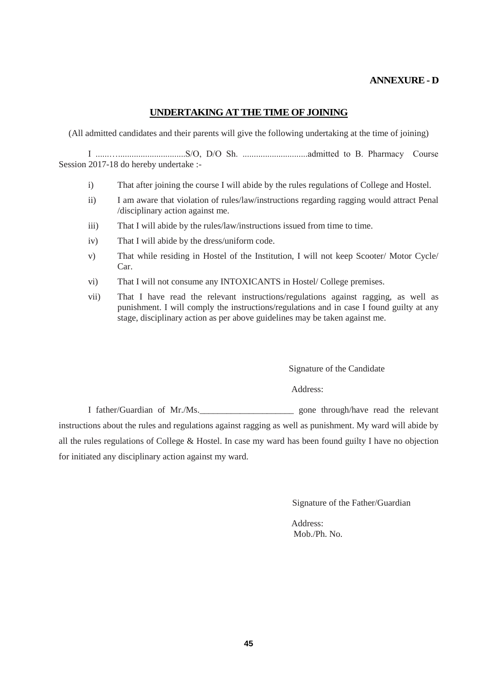#### **ANNEXURE - D**

#### **UNDERTAKING AT THE TIME OF JOINING**

(All admitted candidates and their parents will give the following undertaking at the time of joining)

I ......…..............................S/O, D/O Sh. .............................admitted to B. Pharmacy Course Session 2017-18 do hereby undertake :-

- i) That after joining the course I will abide by the rules regulations of College and Hostel.
- ii) I am aware that violation of rules/law/instructions regarding ragging would attract Penal /disciplinary action against me.
- iii) That I will abide by the rules/law/instructions issued from time to time.
- iv) That I will abide by the dress/uniform code.
- v) That while residing in Hostel of the Institution, I will not keep Scooter/ Motor Cycle/ Car.
- vi) That I will not consume any INTOXICANTS in Hostel/ College premises.
- vii) That I have read the relevant instructions/regulations against ragging, as well as punishment. I will comply the instructions/regulations and in case I found guilty at any stage, disciplinary action as per above guidelines may be taken against me.

Signature of the Candidate

Address:

I father/Guardian of Mr./Ms.\_\_\_\_\_\_\_\_\_\_\_\_\_\_\_\_\_\_\_\_\_ gone through/have read the relevant instructions about the rules and regulations against ragging as well as punishment. My ward will abide by all the rules regulations of College & Hostel. In case my ward has been found guilty I have no objection for initiated any disciplinary action against my ward.

Signature of the Father/Guardian

Address: Mob./Ph. No.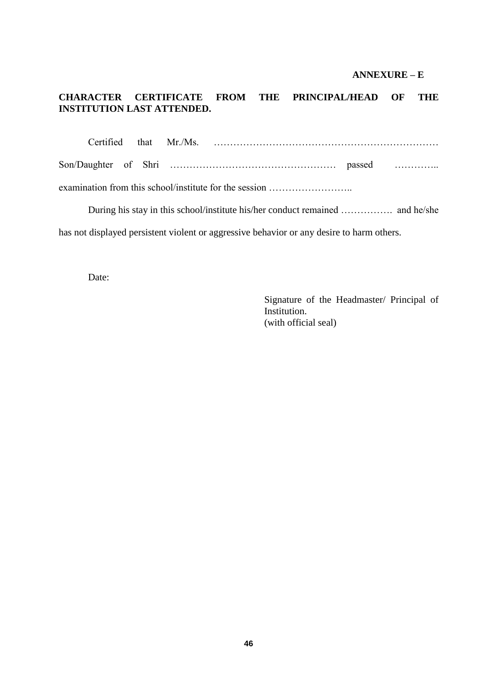#### **ANNEXURE – E**

# **CHARACTER CERTIFICATE FROM THE PRINCIPAL/HEAD OF THE INSTITUTION LAST ATTENDED.**

|  | examination from this school/institute for the session |  |
|--|--------------------------------------------------------|--|

During his stay in this school/institute his/her conduct remained ……………. and he/she has not displayed persistent violent or aggressive behavior or any desire to harm others.

Date:

Signature of the Headmaster/ Principal of Institution. (with official seal)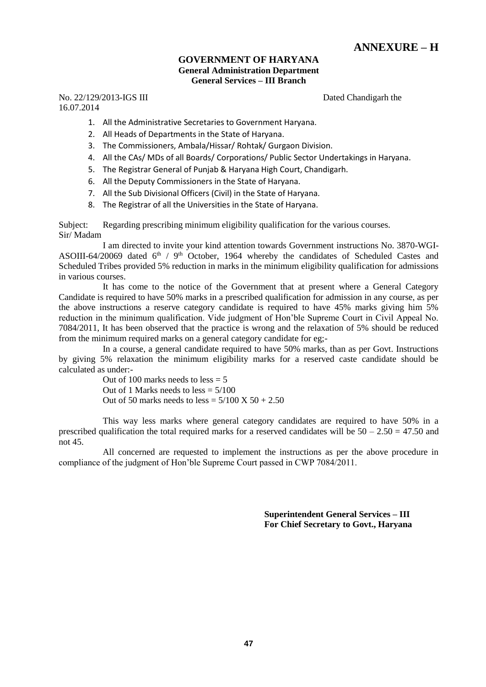# **ANNEXURE – H**

#### **GOVERNMENT OF HARYANA General Administration Department General Services – III Branch**

No. 22/129/2013-IGS III Dated Chandigarh the 16.07.2014

- 1. All the Administrative Secretaries to Government Haryana.
- 2. All Heads of Departments in the State of Haryana.
- 3. The Commissioners, Ambala/Hissar/ Rohtak/ Gurgaon Division.
- 4. All the CAs/ MDs of all Boards/ Corporations/ Public Sector Undertakings in Haryana.
- 5. The Registrar General of Punjab & Haryana High Court, Chandigarh.
- 6. All the Deputy Commissioners in the State of Haryana.
- 7. All the Sub Divisional Officers (Civil) in the State of Haryana.
- 8. The Registrar of all the Universities in the State of Haryana.

Subject: Regarding prescribing minimum eligibility qualification for the various courses. Sir/ Madam

I am directed to invite your kind attention towards Government instructions No. 3870-WGI-ASOIII-64/20069 dated  $6<sup>th</sup>$  / 9<sup>th</sup> October, 1964 whereby the candidates of Scheduled Castes and Scheduled Tribes provided 5% reduction in marks in the minimum eligibility qualification for admissions in various courses.

It has come to the notice of the Government that at present where a General Category Candidate is required to have 50% marks in a prescribed qualification for admission in any course, as per the above instructions a reserve category candidate is required to have 45% marks giving him 5% reduction in the minimum qualification. Vide judgment of Hon'ble Supreme Court in Civil Appeal No. 7084/2011, It has been observed that the practice is wrong and the relaxation of 5% should be reduced from the minimum required marks on a general category candidate for eg;-

In a course, a general candidate required to have 50% marks, than as per Govt. Instructions by giving 5% relaxation the minimum eligibility marks for a reserved caste candidate should be calculated as under:-

> Out of 100 marks needs to  $less = 5$ Out of 1 Marks needs to  $less = 5/100$ Out of 50 marks needs to less =  $5/100 \text{ X } 50 + 2.50$

This way less marks where general category candidates are required to have 50% in a prescribed qualification the total required marks for a reserved candidates will be  $50 - 2.50 = 47.50$  and not 45.

All concerned are requested to implement the instructions as per the above procedure in compliance of the judgment of Hon'ble Supreme Court passed in CWP 7084/2011.

> **Superintendent General Services – III For Chief Secretary to Govt., Haryana**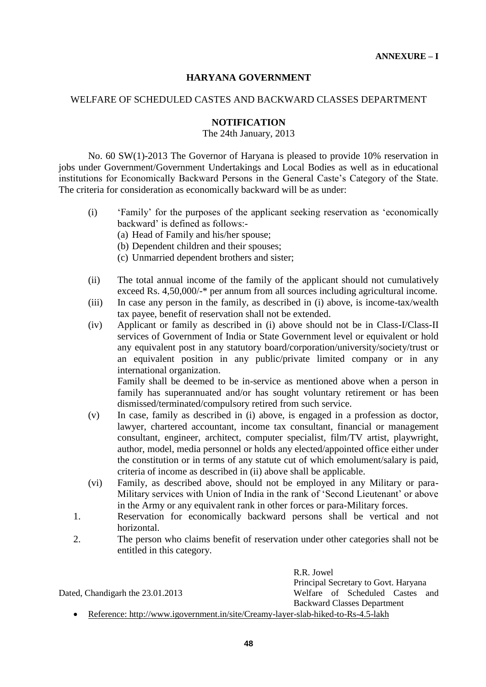## **HARYANA GOVERNMENT**

#### WELFARE OF SCHEDULED CASTES AND BACKWARD CLASSES DEPARTMENT

#### **NOTIFICATION**

The 24th January, 2013

No. 60 SW(1)-2013 The Governor of Haryana is pleased to provide 10% reservation in jobs under Government/Government Undertakings and Local Bodies as well as in educational institutions for Economically Backward Persons in the General Caste's Category of the State. The criteria for consideration as economically backward will be as under:

- (i) 'Family' for the purposes of the applicant seeking reservation as 'economically backward' is defined as follows:-
	- (a) Head of Family and his/her spouse;
	- (b) Dependent children and their spouses;
	- (c) Unmarried dependent brothers and sister;
- (ii) The total annual income of the family of the applicant should not cumulatively exceed Rs. 4,50,000/-\* per annum from all sources including agricultural income.
- (iii) In case any person in the family, as described in (i) above, is income-tax/wealth tax payee, benefit of reservation shall not be extended.
- (iv) Applicant or family as described in (i) above should not be in Class-I/Class-II services of Government of India or State Government level or equivalent or hold any equivalent post in any statutory board/corporation/university/society/trust or an equivalent position in any public/private limited company or in any international organization.

Family shall be deemed to be in-service as mentioned above when a person in family has superannuated and/or has sought voluntary retirement or has been dismissed/terminated/compulsory retired from such service.

- (v) In case, family as described in (i) above, is engaged in a profession as doctor, lawyer, chartered accountant, income tax consultant, financial or management consultant, engineer, architect, computer specialist, film/TV artist, playwright, author, model, media personnel or holds any elected/appointed office either under the constitution or in terms of any statute cut of which emolument/salary is paid, criteria of income as described in (ii) above shall be applicable.
- (vi) Family, as described above, should not be employed in any Military or para-Military services with Union of India in the rank of 'Second Lieutenant' or above in the Army or any equivalent rank in other forces or para-Military forces.
- 1. Reservation for economically backward persons shall be vertical and not horizontal.
- 2. The person who claims benefit of reservation under other categories shall not be entitled in this category.

R.R. Jowel Principal Secretary to Govt. Haryana Dated, Chandigarh the 23.01.2013 Welfare of Scheduled Castes and Backward Classes Department

Reference: http://www.igovernment.in/site/Creamy-layer-slab-hiked-to-Rs-4.5-lakh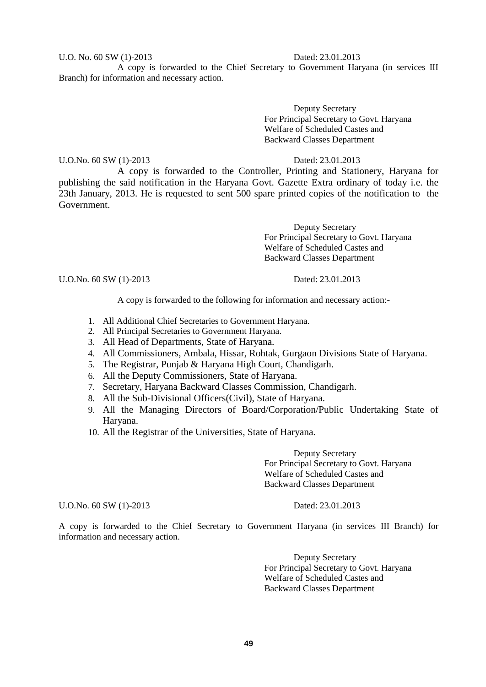#### U.O. No. 60 SW (1)-2013 Dated: 23.01.2013

A copy is forwarded to the Chief Secretary to Government Haryana (in services III Branch) for information and necessary action.

> Deputy Secretary For Principal Secretary to Govt. Haryana Welfare of Scheduled Castes and Backward Classes Department

U.O.No. 60 SW (1)-2013 Dated: 23.01.2013

A copy is forwarded to the Controller, Printing and Stationery, Haryana for publishing the said notification in the Haryana Govt. Gazette Extra ordinary of today i.e. the 23th January, 2013. He is requested to sent 500 spare printed copies of the notification to the Government.

> Deputy Secretary For Principal Secretary to Govt. Haryana Welfare of Scheduled Castes and Backward Classes Department

U.O.No. 60 SW (1)-2013 Dated: 23.01.2013

A copy is forwarded to the following for information and necessary action:-

- 1. All Additional Chief Secretaries to Government Haryana.
- 2. All Principal Secretaries to Government Haryana.
- 3. All Head of Departments, State of Haryana.
- 4. All Commissioners, Ambala, Hissar, Rohtak, Gurgaon Divisions State of Haryana.
- 5. The Registrar, Punjab & Haryana High Court, Chandigarh.
- 6. All the Deputy Commissioners, State of Haryana.
- 7. Secretary, Haryana Backward Classes Commission, Chandigarh.
- 8. All the Sub-Divisional Officers(Civil), State of Haryana.
- 9. All the Managing Directors of Board/Corporation/Public Undertaking State of Haryana.
- 10. All the Registrar of the Universities, State of Haryana.

Deputy Secretary For Principal Secretary to Govt. Haryana Welfare of Scheduled Castes and Backward Classes Department

U.O.No. 60 SW (1)-2013 Dated: 23.01.2013

A copy is forwarded to the Chief Secretary to Government Haryana (in services III Branch) for information and necessary action.

> Deputy Secretary For Principal Secretary to Govt. Haryana Welfare of Scheduled Castes and Backward Classes Department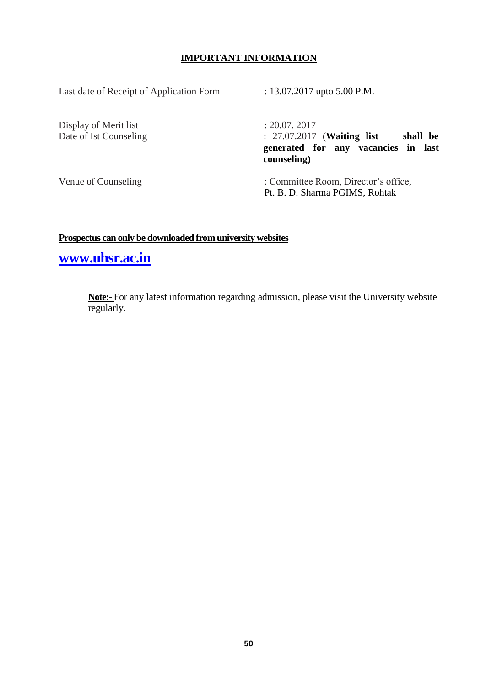## **IMPORTANT INFORMATION**

Last date of Receipt of Application Form : 13.07.2017 upto 5.00 P.M.

Display of Merit list : 20.07. 2017

Date of Ist Counseling : 27.07.2017 (**Waiting list shall be generated for any vacancies in last counseling)**

Venue of Counseling : Committee Room, Director's office, Pt. B. D. Sharma PGIMS, Rohtak

# **Prospectus can only be downloaded from university websites**

**[www.uhsr.ac.in](http://www.uhsr.ac.in/)**

**Note:-** For any latest information regarding admission, please visit the University website regularly.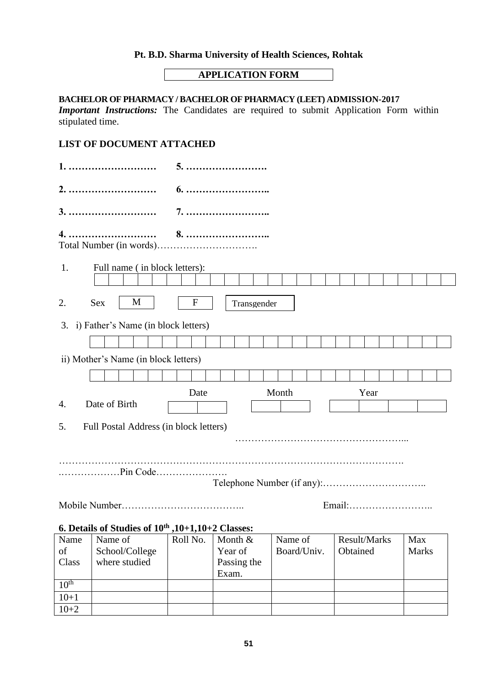# **Pt. B.D. Sharma University of Health Sciences, Rohtak**

# **APPLICATION FORM**

#### **BACHELOR OF PHARMACY / BACHELOR OF PHARMACY (LEET) ADMISSION-2017**

*Important Instructions:* The Candidates are required to submit Application Form within stipulated time.

# **LIST OF DOCUMENT ATTACHED**

| 4.                                                            |                       |                                         |  |                             |  |           |              |                 |
|---------------------------------------------------------------|-----------------------|-----------------------------------------|--|-----------------------------|--|-----------|--------------|-----------------|
| Full name (in block letters):<br>1.                           |                       |                                         |  |                             |  |           |              |                 |
| M<br><b>Sex</b><br>2.                                         | $\mathbf F$           | Transgender                             |  |                             |  |           |              |                 |
| 3. i) Father's Name (in block letters)                        |                       |                                         |  |                             |  |           |              |                 |
|                                                               |                       |                                         |  |                             |  |           |              |                 |
| ii) Mother's Name (in block letters)                          |                       |                                         |  |                             |  |           |              |                 |
|                                                               |                       |                                         |  |                             |  |           |              |                 |
|                                                               | Month<br>Year<br>Date |                                         |  |                             |  |           |              |                 |
| Date of Birth<br>4.                                           |                       |                                         |  |                             |  |           |              |                 |
| Full Postal Address (in block letters)<br>5.                  |                       |                                         |  |                             |  |           |              |                 |
|                                                               |                       |                                         |  |                             |  |           |              |                 |
|                                                               |                       |                                         |  |                             |  |           |              |                 |
| Email:                                                        |                       |                                         |  |                             |  |           |              |                 |
| 6. Details of Studies of $10^{th}$ , $10+1$ , $10+2$ Classes: |                       |                                         |  |                             |  |           |              |                 |
| Name of<br>Name<br>School/Collara                             | Roll No.              | Month &<br>$V_{\alpha\alpha r\alpha f}$ |  | Name of<br>$\bf$ Roard/Haiv |  | $\bigcap$ | Result/Marks | Max<br>$M$ orke |

| <b>TVAIII</b> C  | TVAND OF       | 19011 190. | $\alpha$    | TVANIJU OT  | <b>INCOULT IVEGENS</b> | $1$ via $\Lambda$ |
|------------------|----------------|------------|-------------|-------------|------------------------|-------------------|
| of               | School/College |            | Year of     | Board/Univ. | Obtained               | <b>Marks</b>      |
| Class            | where studied  |            | Passing the |             |                        |                   |
|                  |                |            | Exam.       |             |                        |                   |
| 10 <sup>th</sup> |                |            |             |             |                        |                   |
| $10+1$           |                |            |             |             |                        |                   |
| $10+2$           |                |            |             |             |                        |                   |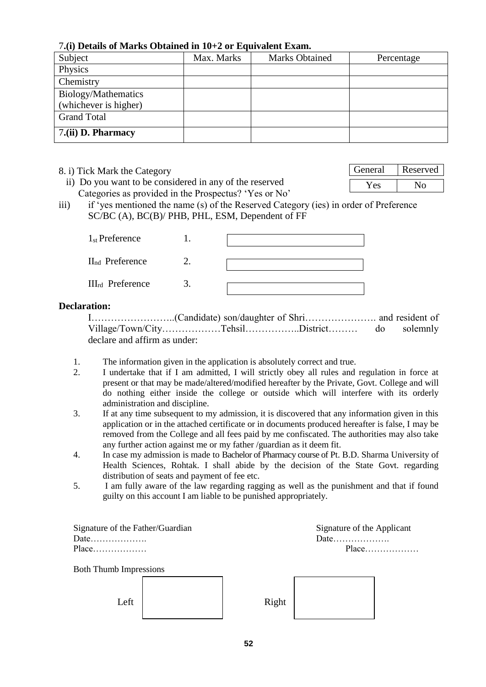# 7**.(i) Details of Marks Obtained in 10+2 or Equivalent Exam.**

| Subject               | Max. Marks | <b>Marks Obtained</b> | Percentage |
|-----------------------|------------|-----------------------|------------|
| Physics               |            |                       |            |
| Chemistry             |            |                       |            |
| Biology/Mathematics   |            |                       |            |
| (whichever is higher) |            |                       |            |
| <b>Grand Total</b>    |            |                       |            |
| 7.(ii) D. Pharmacy    |            |                       |            |

|  |  | 8. i) Tick Mark the Category |
|--|--|------------------------------|
|  |  |                              |

- ii) Do you want to be considered in any of the reserved Categories as provided in the Prospectus? 'Yes or No'
- iii) if 'yes mentioned the name (s) of the Reserved Category (ies) in order of Preference SC/BC (A), BC(B)/ PHB, PHL, ESM, Dependent of FF

| $1st$ Preference            |  |
|-----------------------------|--|
| II <sub>nd</sub> Preference |  |
| $III_{rd}$ Preference       |  |

#### **Declaration:**

I……………………..(Candidate) son/daughter of Shri…………………. and resident of Village/Town/City………………Tehsil……………..District……… do solemnly declare and affirm as under:

- 1. The information given in the application is absolutely correct and true.
- 2. I undertake that if I am admitted, I will strictly obey all rules and regulation in force at present or that may be made/altered/modified hereafter by the Private, Govt. College and will do nothing either inside the college or outside which will interfere with its orderly administration and discipline.
- 3. If at any time subsequent to my admission, it is discovered that any information given in this application or in the attached certificate or in documents produced hereafter is false, I may be removed from the College and all fees paid by me confiscated. The authorities may also take any further action against me or my father /guardian as it deem fit.
- 4. In case my admission is made to Bachelor of Pharmacy course of Pt. B.D. Sharma University of Health Sciences, Rohtak. I shall abide by the decision of the State Govt. regarding distribution of seats and payment of fee etc.
- 5. I am fully aware of the law regarding ragging as well as the punishment and that if found guilty on this account I am liable to be punished appropriately.

| Signature of the Father/Guardian |  |       | Signature of the Applicant |  |
|----------------------------------|--|-------|----------------------------|--|
| Date                             |  |       |                            |  |
| Place                            |  |       |                            |  |
| <b>Both Thumb Impressions</b>    |  |       |                            |  |
|                                  |  |       |                            |  |
| Left                             |  | Right |                            |  |
|                                  |  |       |                            |  |

| General | Reserved |
|---------|----------|
| Y es    | Nο       |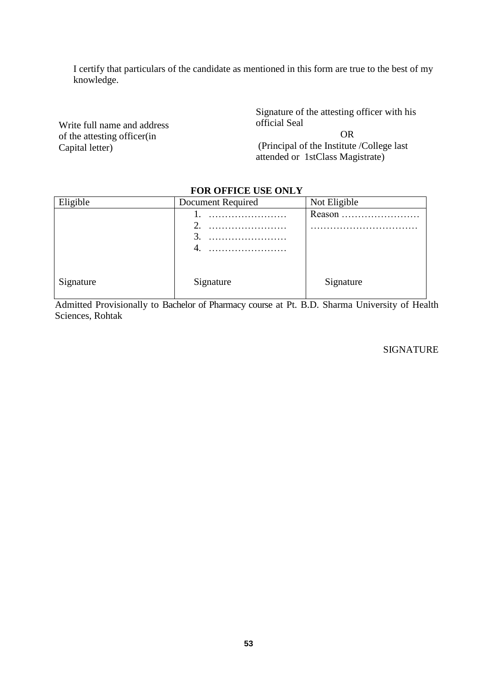I certify that particulars of the candidate as mentioned in this form are true to the best of my knowledge.

Write full name and address of the attesting officer(in Capital letter)

Signature of the attesting officer with his official Seal

OR (Principal of the Institute /College last attended or 1stClass Magistrate)

#### **FOR OFFICE USE ONLY**

| Eligible  | Document Required | Not Eligible |
|-----------|-------------------|--------------|
|           | .                 | Reason       |
|           | .                 |              |
|           | 3.                |              |
|           | 4.                |              |
|           |                   |              |
| Signature | Signature         | Signature    |

Admitted Provisionally to Bachelor of Pharmacy course at Pt. B.D. Sharma University of Health Sciences, Rohtak

#### SIGNATURE